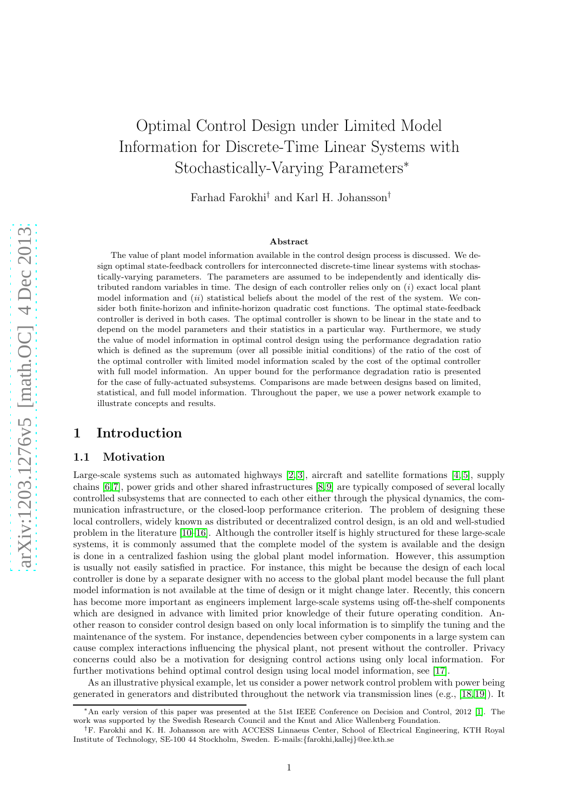# Optimal Control Design under Limited Model Information for Discrete-Time Linear Systems with Stochastically-Varying Parameters<sup>∗</sup>

Farhad Farokhi† and Karl H. Johansson†

#### Abstract

The value of plant model information available in the control design process is discussed. We design optimal state-feedback controllers for interconnected discrete-time linear systems with stochastically-varying parameters. The parameters are assumed to be independently and identically distributed random variables in time. The design of each controller relies only on  $(i)$  exact local plant model information and  $(ii)$  statistical beliefs about the model of the rest of the system. We consider both finite-horizon and infinite-horizon quadratic cost functions. The optimal state-feedback controller is derived in both cases. The optimal controller is shown to be linear in the state and to depend on the model parameters and their statistics in a particular way. Furthermore, we study the value of model information in optimal control design using the performance degradation ratio which is defined as the supremum (over all possible initial conditions) of the ratio of the cost of the optimal controller with limited model information scaled by the cost of the optimal controller with full model information. An upper bound for the performance degradation ratio is presented for the case of fully-actuated subsystems. Comparisons are made between designs based on limited, statistical, and full model information. Throughout the paper, we use a power network example to illustrate concepts and results.

### 1 Introduction

#### 1.1 Motivation

Large-scale systems such as automated highways  $[2, 3]$  $[2, 3]$ , aircraft and satellite formations  $[4, 5]$  $[4, 5]$ , supply chains [\[6,](#page-19-4) [7\]](#page-19-5), power grids and other shared infrastructures [\[8,](#page-19-6) [9\]](#page-19-7) are typically composed of several locally controlled subsystems that are connected to each other either through the physical dynamics, the communication infrastructure, or the closed-loop performance criterion. The problem of designing these local controllers, widely known as distributed or decentralized control design, is an old and well-studied problem in the literature [\[10–](#page-19-8)[16\]](#page-20-0). Although the controller itself is highly structured for these large-scale systems, it is commonly assumed that the complete model of the system is available and the design is done in a centralized fashion using the global plant model information. However, this assumption is usually not easily satisfied in practice. For instance, this might be because the design of each local controller is done by a separate designer with no access to the global plant model because the full plant model information is not available at the time of design or it might change later. Recently, this concern has become more important as engineers implement large-scale systems using off-the-shelf components which are designed in advance with limited prior knowledge of their future operating condition. Another reason to consider control design based on only local information is to simplify the tuning and the maintenance of the system. For instance, dependencies between cyber components in a large system can cause complex interactions influencing the physical plant, not present without the controller. Privacy concerns could also be a motivation for designing control actions using only local information. For further motivations behind optimal control design using local model information, see [\[17\]](#page-20-1).

As an illustrative physical example, let us consider a power network control problem with power being generated in generators and distributed throughout the network via transmission lines (e.g., [\[18,](#page-20-2)[19\]](#page-20-3)). It

<sup>∗</sup>An early version of this paper was presented at the 51st IEEE Conference on Decision and Control, 2012 [\[1\]](#page-19-9). The work was supported by the Swedish Research Council and the Knut and Alice Wallenberg Foundation.

<sup>†</sup>F. Farokhi and K. H. Johansson are with ACCESS Linnaeus Center, School of Electrical Engineering, KTH Royal Institute of Technology, SE-100 44 Stockholm, Sweden. E-mails:{farokhi,kallej}@ee.kth.se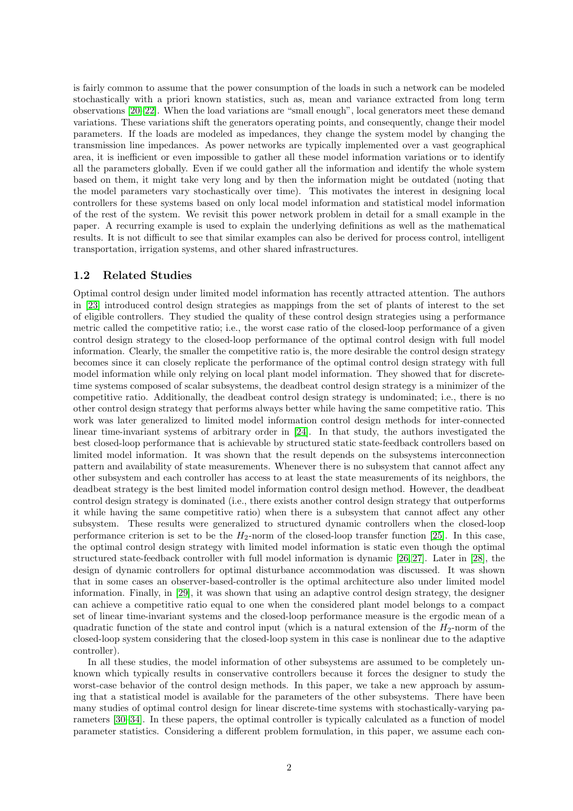is fairly common to assume that the power consumption of the loads in such a network can be modeled stochastically with a priori known statistics, such as, mean and variance extracted from long term observations [\[20](#page-20-4)[–22\]](#page-20-5). When the load variations are "small enough", local generators meet these demand variations. These variations shift the generators operating points, and consequently, change their model parameters. If the loads are modeled as impedances, they change the system model by changing the transmission line impedances. As power networks are typically implemented over a vast geographical area, it is inefficient or even impossible to gather all these model information variations or to identify all the parameters globally. Even if we could gather all the information and identify the whole system based on them, it might take very long and by then the information might be outdated (noting that the model parameters vary stochastically over time). This motivates the interest in designing local controllers for these systems based on only local model information and statistical model information of the rest of the system. We revisit this power network problem in detail for a small example in the paper. A recurring example is used to explain the underlying definitions as well as the mathematical results. It is not difficult to see that similar examples can also be derived for process control, intelligent transportation, irrigation systems, and other shared infrastructures.

#### 1.2 Related Studies

Optimal control design under limited model information has recently attracted attention. The authors in [\[23\]](#page-20-6) introduced control design strategies as mappings from the set of plants of interest to the set of eligible controllers. They studied the quality of these control design strategies using a performance metric called the competitive ratio; i.e., the worst case ratio of the closed-loop performance of a given control design strategy to the closed-loop performance of the optimal control design with full model information. Clearly, the smaller the competitive ratio is, the more desirable the control design strategy becomes since it can closely replicate the performance of the optimal control design strategy with full model information while only relying on local plant model information. They showed that for discretetime systems composed of scalar subsystems, the deadbeat control design strategy is a minimizer of the competitive ratio. Additionally, the deadbeat control design strategy is undominated; i.e., there is no other control design strategy that performs always better while having the same competitive ratio. This work was later generalized to limited model information control design methods for inter-connected linear time-invariant systems of arbitrary order in [\[24\]](#page-20-7). In that study, the authors investigated the best closed-loop performance that is achievable by structured static state-feedback controllers based on limited model information. It was shown that the result depends on the subsystems interconnection pattern and availability of state measurements. Whenever there is no subsystem that cannot affect any other subsystem and each controller has access to at least the state measurements of its neighbors, the deadbeat strategy is the best limited model information control design method. However, the deadbeat control design strategy is dominated (i.e., there exists another control design strategy that outperforms it while having the same competitive ratio) when there is a subsystem that cannot affect any other subsystem. These results were generalized to structured dynamic controllers when the closed-loop performance criterion is set to be the  $H_2$ -norm of the closed-loop transfer function [\[25\]](#page-20-8). In this case, the optimal control design strategy with limited model information is static even though the optimal structured state-feedback controller with full model information is dynamic [\[26,](#page-20-9) [27\]](#page-20-10). Later in [\[28\]](#page-20-11), the design of dynamic controllers for optimal disturbance accommodation was discussed. It was shown that in some cases an observer-based-controller is the optimal architecture also under limited model information. Finally, in [\[29\]](#page-20-12), it was shown that using an adaptive control design strategy, the designer can achieve a competitive ratio equal to one when the considered plant model belongs to a compact set of linear time-invariant systems and the closed-loop performance measure is the ergodic mean of a quadratic function of the state and control input (which is a natural extension of the  $H_2$ -norm of the closed-loop system considering that the closed-loop system in this case is nonlinear due to the adaptive controller).

In all these studies, the model information of other subsystems are assumed to be completely unknown which typically results in conservative controllers because it forces the designer to study the worst-case behavior of the control design methods. In this paper, we take a new approach by assuming that a statistical model is available for the parameters of the other subsystems. There have been many studies of optimal control design for linear discrete-time systems with stochastically-varying parameters [\[30](#page-21-0)[–34\]](#page-21-1). In these papers, the optimal controller is typically calculated as a function of model parameter statistics. Considering a different problem formulation, in this paper, we assume each con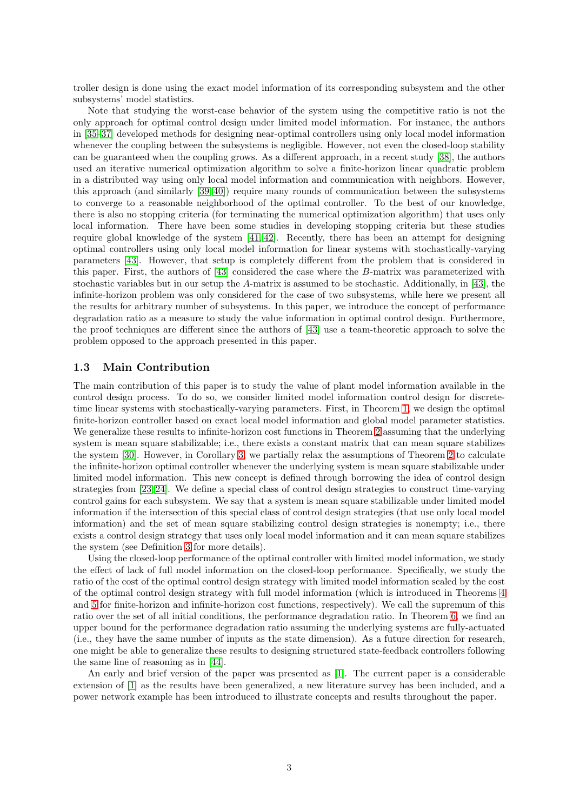troller design is done using the exact model information of its corresponding subsystem and the other subsystems' model statistics.

Note that studying the worst-case behavior of the system using the competitive ratio is not the only approach for optimal control design under limited model information. For instance, the authors in [\[35](#page-21-2)[–37\]](#page-21-3) developed methods for designing near-optimal controllers using only local model information whenever the coupling between the subsystems is negligible. However, not even the closed-loop stability can be guaranteed when the coupling grows. As a different approach, in a recent study [\[38\]](#page-21-4), the authors used an iterative numerical optimization algorithm to solve a finite-horizon linear quadratic problem in a distributed way using only local model information and communication with neighbors. However, this approach (and similarly [\[39,](#page-21-5) [40\]](#page-21-6)) require many rounds of communication between the subsystems to converge to a reasonable neighborhood of the optimal controller. To the best of our knowledge, there is also no stopping criteria (for terminating the numerical optimization algorithm) that uses only local information. There have been some studies in developing stopping criteria but these studies require global knowledge of the system [\[41,](#page-21-7) [42\]](#page-21-8). Recently, there has been an attempt for designing optimal controllers using only local model information for linear systems with stochastically-varying parameters [\[43\]](#page-21-9). However, that setup is completely different from the problem that is considered in this paper. First, the authors of [\[43\]](#page-21-9) considered the case where the B-matrix was parameterized with stochastic variables but in our setup the A-matrix is assumed to be stochastic. Additionally, in [\[43\]](#page-21-9), the infinite-horizon problem was only considered for the case of two subsystems, while here we present all the results for arbitrary number of subsystems. In this paper, we introduce the concept of performance degradation ratio as a measure to study the value information in optimal control design. Furthermore, the proof techniques are different since the authors of [\[43\]](#page-21-9) use a team-theoretic approach to solve the problem opposed to the approach presented in this paper.

#### 1.3 Main Contribution

The main contribution of this paper is to study the value of plant model information available in the control design process. To do so, we consider limited model information control design for discretetime linear systems with stochastically-varying parameters. First, in Theorem [1,](#page-5-0) we design the optimal finite-horizon controller based on exact local model information and global model parameter statistics. We generalize these results to infinite-horizon cost functions in Theorem [2](#page-10-0) assuming that the underlying system is mean square stabilizable; i.e., there exists a constant matrix that can mean square stabilizes the system [\[30\]](#page-21-0). However, in Corollary [3,](#page-12-0) we partially relax the assumptions of Theorem [2](#page-10-0) to calculate the infinite-horizon optimal controller whenever the underlying system is mean square stabilizable under limited model information. This new concept is defined through borrowing the idea of control design strategies from [\[23,](#page-20-6) [24\]](#page-20-7). We define a special class of control design strategies to construct time-varying control gains for each subsystem. We say that a system is mean square stabilizable under limited model information if the intersection of this special class of control design strategies (that use only local model information) and the set of mean square stabilizing control design strategies is nonempty; i.e., there exists a control design strategy that uses only local model information and it can mean square stabilizes the system (see Definition [3](#page-12-1) for more details).

Using the closed-loop performance of the optimal controller with limited model information, we study the effect of lack of full model information on the closed-loop performance. Specifically, we study the ratio of the cost of the optimal control design strategy with limited model information scaled by the cost of the optimal control design strategy with full model information (which is introduced in Theorems [4](#page-14-0) and [5](#page-15-0) for finite-horizon and infinite-horizon cost functions, respectively). We call the supremum of this ratio over the set of all initial conditions, the performance degradation ratio. In Theorem [6,](#page-17-0) we find an upper bound for the performance degradation ratio assuming the underlying systems are fully-actuated (i.e., they have the same number of inputs as the state dimension). As a future direction for research, one might be able to generalize these results to designing structured state-feedback controllers following the same line of reasoning as in [\[44\]](#page-21-10).

An early and brief version of the paper was presented as [\[1\]](#page-19-9). The current paper is a considerable extension of [\[1\]](#page-19-9) as the results have been generalized, a new literature survey has been included, and a power network example has been introduced to illustrate concepts and results throughout the paper.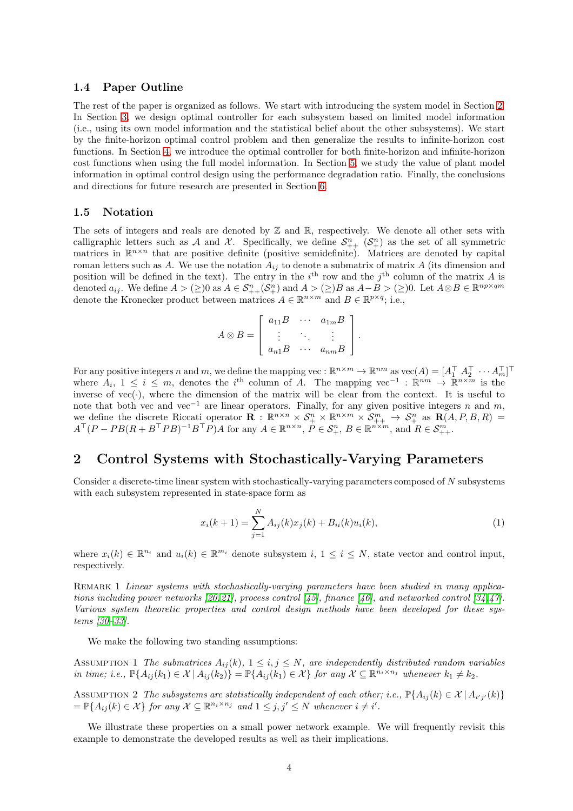#### 1.4 Paper Outline

The rest of the paper is organized as follows. We start with introducing the system model in Section [2.](#page-3-0) In Section [3,](#page-5-1) we design optimal controller for each subsystem based on limited model information (i.e., using its own model information and the statistical belief about the other subsystems). We start by the finite-horizon optimal control problem and then generalize the results to infinite-horizon cost functions. In Section [4,](#page-14-1) we introduce the optimal controller for both finite-horizon and infinite-horizon cost functions when using the full model information. In Section [5,](#page-16-0) we study the value of plant model information in optimal control design using the performance degradation ratio. Finally, the conclusions and directions for future research are presented in Section [6.](#page-19-10)

#### 1.5 Notation

The sets of integers and reals are denoted by  $\mathbb Z$  and  $\mathbb R$ , respectively. We denote all other sets with calligraphic letters such as A and X. Specifically, we define  $S_{++}^n(S_{+}^n)$  as the set of all symmetric matrices in  $\mathbb{R}^{n \times n}$  that are positive definite (positive semidefinite). Matrices are denoted by capital roman letters such as A. We use the notation  $A_{ij}$  to denote a submatrix of matrix A (its dimension and position will be defined in the text). The entry in the  $i<sup>th</sup>$  row and the  $j<sup>th</sup>$  column of the matrix A is denoted  $a_{ij}$ . We define  $A > (\geq)0$  as  $A \in S_{++}^n(S_{+}^n)$  and  $A > (\geq)B$  as  $A-B > (\geq)0$ . Let  $A \otimes B \in \mathbb{R}^{np \times qm}$ denote the Kronecker product between matrices  $A \in \mathbb{R}^{n \times m}$  and  $B \in \mathbb{R}^{p \times q}$ ; i.e.,

$$
A \otimes B = \left[ \begin{array}{ccc} a_{11}B & \cdots & a_{1m}B \\ \vdots & \ddots & \vdots \\ a_{n1}B & \cdots & a_{nm}B \end{array} \right].
$$

For any positive integers n and m, we define the mapping vec :  $\mathbb{R}^{n \times m} \to \mathbb{R}^{nm}$  as  $\text{vec}(A) = [A_1^\top A_2^\top \cdots A_m^\top]^\top$ where  $A_i$ ,  $1 \leq i \leq m$ , denotes the i<sup>th</sup> column of A. The mapping vec<sup>-1</sup> :  $\mathbb{R}^{nm} \to \mathbb{R}^{n \times m}$  is the inverse of  $\text{vec}(\cdot)$ , where the dimension of the matrix will be clear from the context. It is useful to note that both vec and vec<sup>-1</sup> are linear operators. Finally, for any given positive integers n and m, we define the discrete Riccati operator  $\mathbf{R} : \mathbb{R}^{n \times n} \times \mathcal{S}_+^n \times \mathbb{R}^{n \times m} \times \mathcal{S}_{++}^m \to \mathcal{S}_+^n$  as  $\mathbf{R}(A, P, B, R) =$  $A^{\top}(P - PB(R + B^{\top}PB)^{-1}B^{\top}P)A$  for any  $A \in \mathbb{R}^{n \times n}$ ,  $P \in \mathcal{S}_{+}^{n}$ ,  $B \in \mathbb{R}^{n \times m}$ , and  $R \in \mathcal{S}_{++}^{m}$ .

### <span id="page-3-0"></span>2 Control Systems with Stochastically-Varying Parameters

Consider a discrete-time linear system with stochastically-varying parameters composed of N subsystems with each subsystem represented in state-space form as

<span id="page-3-1"></span>
$$
x_i(k+1) = \sum_{j=1}^{N} A_{ij}(k)x_j(k) + B_{ii}(k)u_i(k),
$$
\n(1)

where  $x_i(k) \in \mathbb{R}^{n_i}$  and  $u_i(k) \in \mathbb{R}^{m_i}$  denote subsystem  $i, 1 \leq i \leq N$ , state vector and control input, respectively.

REMARK 1 Linear systems with stochastically-varying parameters have been studied in many applica-tions including power networks [\[20](#page-20-4)[,21\]](#page-20-13), process control [45], finance [\[46\]](#page-21-11), and networked control [\[34,](#page-21-1)[47\]](#page-21-12). Various system theoretic properties and control design methods have been developed for these systems [\[30–](#page-21-0)33].

<span id="page-3-2"></span>We make the following two standing assumptions:

ASSUMPTION 1 The submatrices  $A_{ij}(k)$ ,  $1 \leq i, j \leq N$ , are independently distributed random variables in time; i.e.,  $\mathbb{P}\{A_{ij}(k_1) \in \mathcal{X} \mid A_{ij}(k_2)\} = \mathbb{P}\{A_{ij}(k_1) \in \mathcal{X}\}\$  for any  $\mathcal{X} \subseteq \mathbb{R}^{n_i \times n_j}$  whenever  $k_1 \neq k_2$ .

ASSUMPTION 2 The subsystems are statistically independent of each other; i.e.,  $\mathbb{P}\{A_{ij}(k) \in \mathcal{X} \mid A_{i'j'}(k)\}\$  $=\mathbb{P}\lbrace A_{ij}(k) \in \mathcal{X} \rbrace$  for any  $\mathcal{X} \subseteq \mathbb{R}^{n_i \times n_j}$  and  $1 \leq j, j' \leq N$  whenever  $i \neq i'$ .

We illustrate these properties on a small power network example. We will frequently revisit this example to demonstrate the developed results as well as their implications.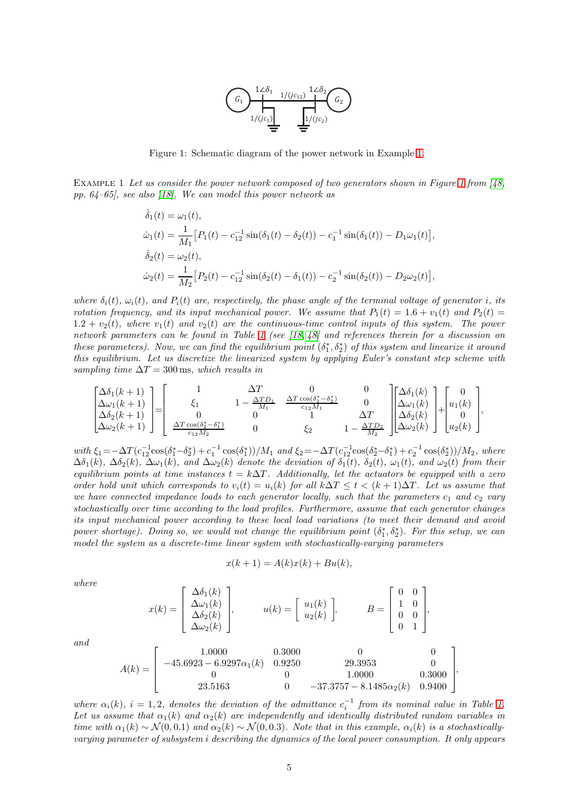

<span id="page-4-0"></span>Figure 1: Schematic diagram of the power network in Example [1.](#page-16-1)

EXAMPLE [1](#page-4-0) Let us consider the power network composed of two generators shown in Figure 1 from  $(48, 80)$ pp. 64–65], see also [\[18\]](#page-20-2). We can model this power network as

$$
\dot{\delta}_1(t) = \omega_1(t),
$$
  
\n
$$
\dot{\omega}_1(t) = \frac{1}{M_1} \Big[ P_1(t) - c_{12}^{-1} \sin(\delta_1(t) - \delta_2(t)) - c_1^{-1} \sin(\delta_1(t)) - D_1 \omega_1(t) \Big],
$$
  
\n
$$
\dot{\delta}_2(t) = \omega_2(t),
$$
  
\n
$$
\dot{\omega}_2(t) = \frac{1}{M_2} \Big[ P_2(t) - c_{12}^{-1} \sin(\delta_2(t) - \delta_1(t)) - c_2^{-1} \sin(\delta_2(t)) - D_2 \omega_2(t) \Big],
$$

where  $\delta_i(t)$ ,  $\omega_i(t)$ , and  $P_i(t)$  are, respectively, the phase angle of the terminal voltage of generator i, its rotation frequency, and its input mechanical power. We assume that  $P_1(t) = 1.6 + v_1(t)$  and  $P_2(t) =$  $1.2 + v_2(t)$ , where  $v_1(t)$  and  $v_2(t)$  are the continuous-time control inputs of this system. The power network parameters can be found in Table [1](#page-5-2) (see [\[18,](#page-20-2) [48\]](#page-22-0) and references therein for a discussion on these parameters). Now, we can find the equilibrium point  $(\delta_1^*, \delta_2^*)$  of this system and linearize it around this equilibrium. Let us discretize the linearized system by applying Euler's constant step scheme with sampling time  $\Delta T = 300$  ms, which results in

$$
\begin{bmatrix}\n\Delta\delta_{1}(k+1) \\
\Delta\omega_{1}(k+1) \\
\Delta\delta_{2}(k+1) \\
\Delta\omega_{2}(k+1)\n\end{bmatrix} = \begin{bmatrix}\n1 & \Delta T & 0 & 0 \\
\xi_{1} & 1 - \frac{\Delta T D_{1}}{M_{1}} & \frac{\Delta T \cos(\delta_{1}^{*} - \delta_{2}^{*})}{c_{12}M_{1}} & 0 \\
0 & 0 & 1 & \Delta T \\
\frac{\Delta T \cos(\delta_{2}^{*} - \delta_{1}^{*})}{c_{12}M_{2}} & 0 & \xi_{2} & 1 - \frac{\Delta T D_{2}}{M_{2}}\n\end{bmatrix} \begin{bmatrix}\n\Delta\delta_{1}(k) \\
\Delta\omega_{1}(k) \\
\Delta\delta_{2}(k) \\
\Delta\omega_{2}(k)\n\end{bmatrix} + \begin{bmatrix}\n0 \\
u_{1}(k) \\
0 \\
u_{2}(k)\n\end{bmatrix},
$$

with  $\xi_1 = -\Delta T (c_{12}^{-1} \cos(\delta_1^* - \delta_2^*) + c_1^{-1} \cos(\delta_1^*))/M_1$  and  $\xi_2 = -\Delta T (c_{12}^{-1} \cos(\delta_2^* - \delta_1^*) + c_2^{-1} \cos(\delta_2^*))/M_2$ , where  $\Delta\delta_1(k)$ ,  $\Delta\delta_2(k)$ ,  $\Delta\omega_1(k)$ , and  $\Delta\omega_2(k)$  denote the deviation of  $\delta_1(t)$ ,  $\delta_2(t)$ ,  $\omega_1(t)$ , and  $\omega_2(t)$  from their equilibrium points at time instances  $t = k\Delta T$ . Additionally, let the actuators be equipped with a zero order hold unit which corresponds to  $v_i(t) = u_i(k)$  for all  $k\Delta T \le t < (k+1)\Delta T$ . Let us assume that we have connected impedance loads to each generator locally, such that the parameters  $c_1$  and  $c_2$  vary stochastically over time according to the load profiles. Furthermore, assume that each generator changes its input mechanical power according to these local load variations (to meet their demand and avoid power shortage). Doing so, we would not change the equilibrium point  $(\delta_1^*, \delta_2^*)$ . For this setup, we can model the system as a discrete-time linear system with stochastically-varying parameters

$$
x(k+1) = A(k)x(k) + Bu(k),
$$

where

$$
x(k) = \begin{bmatrix} \Delta \delta_1(k) \\ \Delta \omega_1(k) \\ \Delta \delta_2(k) \\ \Delta \omega_2(k) \end{bmatrix}, \qquad u(k) = \begin{bmatrix} u_1(k) \\ u_2(k) \end{bmatrix}, \qquad B = \begin{bmatrix} 0 & 0 \\ 1 & 0 \\ 0 & 0 \\ 0 & 1 \end{bmatrix},
$$

and

$$
A(k) = \begin{bmatrix} 1.0000 & 0.3000 & 0 & 0 \\ -45.6923 - 6.9297\alpha_1(k) & 0.9250 & 29.3953 & 0 \\ 0 & 0 & 1.0000 & 0.3000 \\ 23.5163 & 0 & -37.3757 - 8.1485\alpha_2(k) & 0.9400 \end{bmatrix},
$$

where  $\alpha_i(k)$ ,  $i = 1, 2$ , denotes the deviation of the admittance  $c_i^{-1}$  from its nominal value in Table [1.](#page-5-2) Let us assume that  $\alpha_1(k)$  and  $\alpha_2(k)$  are independently and identically distributed random variables in time with  $\alpha_1(k) \sim \mathcal{N}(0, 0.1)$  and  $\alpha_2(k) \sim \mathcal{N}(0, 0.3)$ . Note that in this example,  $\alpha_i(k)$  is a stochasticallyvarying parameter of subsystem i describing the dynamics of the local power consumption. It only appears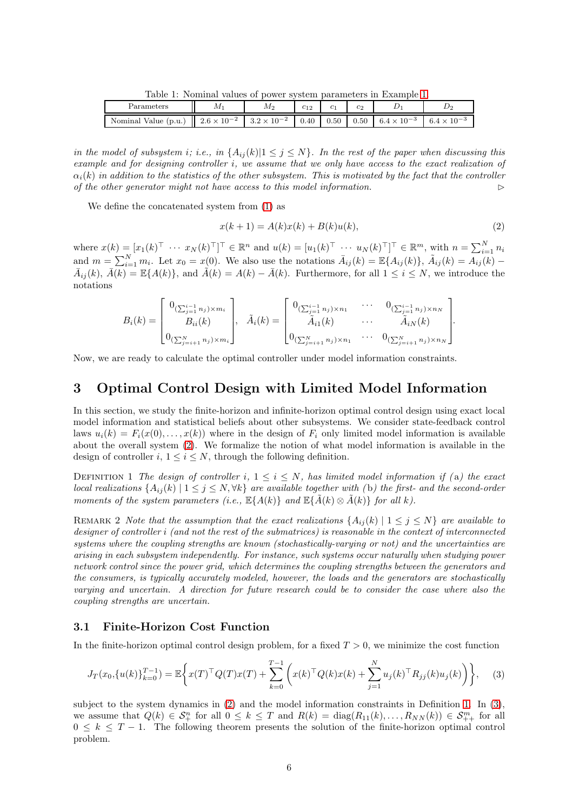<span id="page-5-2"></span>Table 1: Nominal values of power system parameters in Example [1.](#page-16-1)

| Parameters             | IVI                                            | Mэ |  | Cэ |                                            |  |
|------------------------|------------------------------------------------|----|--|----|--------------------------------------------|--|
| Nominal Value $(p.u.)$ | $2.6 \times 10^{-2}$ $3.2 \times 10^{-2}$ 0.40 |    |  |    | $0.50 \quad 0.50 \quad 6.4 \times 10^{-3}$ |  |

in the model of subsystem i; i.e., in  $\{A_{ij}(k)|1 \leq j \leq N\}$ . In the rest of the paper when discussing this example and for designing controller i, we assume that we only have access to the exact realization of  $\alpha_i(k)$  in addition to the statistics of the other subsystem. This is motivated by the fact that the controller of the other generator might not have access to this model information.  $\triangleright$ 

We define the concatenated system from [\(1\)](#page-3-1) as

<span id="page-5-3"></span>
$$
x(k+1) = A(k)x(k) + B(k)u(k),
$$
\n(2)

where  $x(k) = [x_1(k)^\top \cdots x_N(k)^\top]^\top \in \mathbb{R}^n$  and  $u(k) = [u_1(k)^\top \cdots u_N(k)^\top]^\top \in \mathbb{R}^m$ , with  $n = \sum_{i=1}^N n_i$ and  $m = \sum_{i=1}^{N} m_i$ . Let  $x_0 = x(0)$ . We also use the notations  $\overline{A}_{ij}(k) = \mathbb{E}\{A_{ij}(k)\},\ \overline{A}_{ij}(k) = A_{ij}(k)$  $\bar{A}_{ij}(k)$ ,  $\bar{A}(k) = \mathbb{E}{A(k)}$ , and  $\tilde{A}(k) = A(k) - \bar{A}(k)$ . Furthermore, for all  $1 \leq i \leq N$ , we introduce the notations

$$
B_i(k) = \begin{bmatrix} 0_{(\sum_{j=1}^{i-1} n_j) \times m_i} \\ B_{ii}(k) \\ 0_{(\sum_{j=i+1}^N n_j) \times m_i} \end{bmatrix}, \quad \tilde{A}_i(k) = \begin{bmatrix} 0_{(\sum_{j=1}^{i-1} n_j) \times n_1} & \cdots & 0_{(\sum_{j=1}^{i-1} n_j) \times n_N} \\ \tilde{A}_{i1}(k) & \cdots & \tilde{A}_{iN}(k) \\ 0_{(\sum_{j=i+1}^N n_j) \times n_1} & \cdots & 0_{(\sum_{j=i+1}^N n_j) \times n_N} \end{bmatrix}.
$$

Now, we are ready to calculate the optimal controller under model information constraints.

### <span id="page-5-1"></span>3 Optimal Control Design with Limited Model Information

In this section, we study the finite-horizon and infinite-horizon optimal control design using exact local model information and statistical beliefs about other subsystems. We consider state-feedback control laws  $u_i(k) = F_i(x(0), \ldots, x(k))$  where in the design of  $F_i$  only limited model information is available about the overall system [\(2\)](#page-5-3). We formalize the notion of what model information is available in the design of controller i,  $1 \le i \le N$ , through the following definition.

<span id="page-5-4"></span>DEFINITION 1 The design of controller i,  $1 \leq i \leq N$ , has limited model information if (a) the exact local realizations  $\{A_{ij}(k) \mid 1 \leq j \leq N, \forall k\}$  are available together with (b) the first- and the second-order moments of the system parameters (i.e.,  $\mathbb{E}\{A(k)\}\$  and  $\mathbb{E}\{\tilde{A}(k)\otimes\tilde{A}(k)\}\$  for all k).

REMARK 2 Note that the assumption that the exact realizations  $\{A_{ij}(k) | 1 \leq j \leq N\}$  are available to designer of controller i (and not the rest of the submatrices) is reasonable in the context of interconnected systems where the coupling strengths are known (stochastically-varying or not) and the uncertainties are arising in each subsystem independently. For instance, such systems occur naturally when studying power network control since the power grid, which determines the coupling strengths between the generators and the consumers, is typically accurately modeled, however, the loads and the generators are stochastically varying and uncertain. A direction for future research could be to consider the case where also the coupling strengths are uncertain.

### 3.1 Finite-Horizon Cost Function

In the finite-horizon optimal control design problem, for a fixed  $T > 0$ , we minimize the cost function

<span id="page-5-5"></span>
$$
J_T(x_0, \{u(k)\}_{k=0}^{T-1}) = \mathbb{E}\bigg\{x(T)^{\top}Q(T)x(T) + \sum_{k=0}^{T-1} \left(x(k)^{\top}Q(k)x(k) + \sum_{j=1}^{N} u_j(k)^{\top}R_{jj}(k)u_j(k)\right)\bigg\},\qquad(3)
$$

<span id="page-5-0"></span>subject to the system dynamics in [\(2\)](#page-5-3) and the model information constraints in Definition [1.](#page-5-4) In [\(3\)](#page-5-5), we assume that  $Q(k) \in S_+^n$  for all  $0 \leq k \leq T$  and  $R(k) = \text{diag}(R_{11}(k), \ldots, R_{NN}(k)) \in S_{++}^m$  for all  $0 \leq k \leq T-1$ . The following theorem presents the solution of the finite-horizon optimal control problem.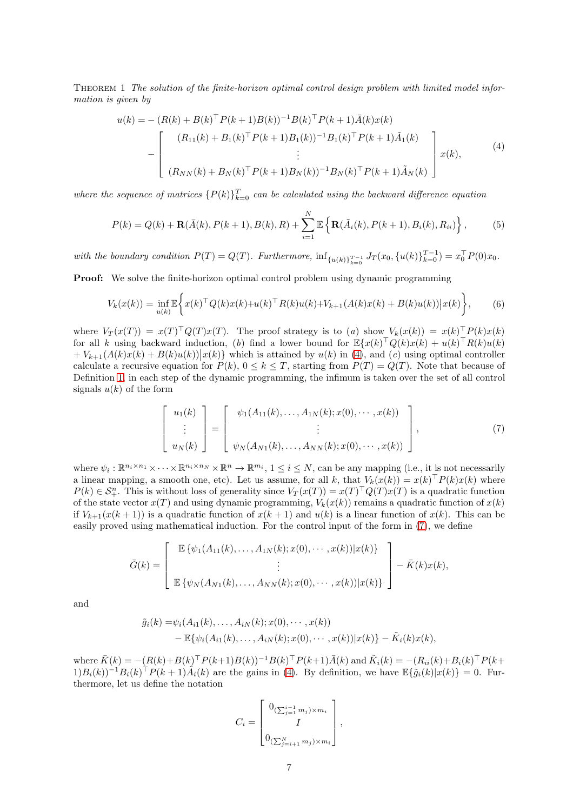Theorem 1 The solution of the finite-horizon optimal control design problem with limited model information is given by

$$
u(k) = -(R(k) + B(k)^{\top} P(k+1)B(k))^{-1} B(k)^{\top} P(k+1) \bar{A}(k)x(k)
$$
  
 
$$
- \begin{bmatrix} (R_{11}(k) + B_1(k)^{\top} P(k+1)B_1(k))^{-1} B_1(k)^{\top} P(k+1) \tilde{A}_1(k) \\ \vdots \\ (R_{NN}(k) + B_N(k)^{\top} P(k+1)B_N(k))^{-1} B_N(k)^{\top} P(k+1) \tilde{A}_N(k) \end{bmatrix} x(k),
$$
 (4)

<span id="page-6-3"></span><span id="page-6-0"></span>where the sequence of matrices  $\{P(k)\}_{k=0}^{T}$  can be calculated using the backward difference equation

$$
P(k) = Q(k) + \mathbf{R}(\bar{A}(k), P(k+1), B(k), R) + \sum_{i=1}^{N} \mathbb{E} \left\{ \mathbf{R}(\tilde{A}_i(k), P(k+1), B_i(k), R_{ii}) \right\},
$$
 (5)

with the boundary condition  $P(T) = Q(T)$ . Furthermore,  $\inf_{\{u(k)\}_{k=0}^{T-1}} J_T(x_0, \{u(k)\}_{k=0}^{T-1}) = x_0^{\top} P(0)x_0$ .

<span id="page-6-2"></span>**Proof:** We solve the finite-horizon optimal control problem using dynamic programming

$$
V_k(x(k)) = \inf_{u(k)} \mathbb{E}\bigg\{x(k)^{\top}Q(k)x(k) + u(k)^{\top}R(k)u(k) + V_{k+1}(A(k)x(k) + B(k)u(k))|x(k)\bigg\},\qquad(6)
$$

where  $V_T(x(T)) = x(T)^T Q(T)x(T)$ . The proof strategy is to (a) show  $V_k(x(k)) = x(k)^T P(k)x(k)$ for all k using backward induction, (b) find a lower bound for  $\mathbb{E}\{x(k)^{\top}Q(k)x(k) + u(k)^{\top}R(k)u(k)\}$  $+ V_{k+1}(A(k)x(k) + B(k)u(k)) |x(k)\}\$  which is attained by  $u(k)$  in [\(4\)](#page-6-0), and (c) using optimal controller calculate a recursive equation for  $P(k)$ ,  $0 \le k \le T$ , starting from  $P(T) = Q(T)$ . Note that because of Definition [1,](#page-5-4) in each step of the dynamic programming, the infimum is taken over the set of all control signals  $u(k)$  of the form

<span id="page-6-1"></span>
$$
\begin{bmatrix}\nu_1(k) \\
\vdots \\
u_N(k)\n\end{bmatrix} = \begin{bmatrix}\n\psi_1(A_{11}(k), \dots, A_{1N}(k); x(0), \dots, x(k)) \\
\vdots \\
\psi_N(A_{N1}(k), \dots, A_{NN}(k); x(0), \dots, x(k))\n\end{bmatrix},
$$
\n(7)

where  $\psi_i : \mathbb{R}^{n_i \times n_1} \times \cdots \times \mathbb{R}^{n_i \times n_N} \times \mathbb{R}^n \to \mathbb{R}^{m_i}$ ,  $1 \leq i \leq N$ , can be any mapping (i.e., it is not necessarily a linear mapping, a smooth one, etc). Let us assume, for all k, that  $V_k(x(k)) = x(k)^T P(k)x(k)$  where  $P(k) \in \mathcal{S}_{+}^{n}$ . This is without loss of generality since  $V_T(x(T)) = x(T)^{\top} Q(T) x(T)$  is a quadratic function of the state vector  $x(T)$  and using dynamic programming,  $V_k(x(k))$  remains a quadratic function of  $x(k)$ if  $V_{k+1}(x(k+1))$  is a quadratic function of  $x(k+1)$  and  $u(k)$  is a linear function of  $x(k)$ . This can be easily proved using mathematical induction. For the control input of the form in [\(7\)](#page-6-1), we define

$$
\bar{G}(k) = \begin{bmatrix} \mathbb{E}\left\{\psi_1(A_{11}(k),\ldots,A_{1N}(k);x(0),\cdots,x(k))|x(k)\right\} \\ \vdots \\ \mathbb{E}\left\{\psi_N(A_{N1}(k),\ldots,A_{NN}(k);x(0),\cdots,x(k))|x(k)\right\} \end{bmatrix} - \bar{K}(k)x(k),
$$

and

$$
\tilde{g}_i(k) = \psi_i(A_{i1}(k), \dots, A_{iN}(k); x(0), \dots, x(k)) \n- \mathbb{E}\{\psi_i(A_{i1}(k), \dots, A_{iN}(k); x(0), \dots, x(k)) | x(k)\} - \tilde{K}_i(k)x(k),
$$

where  $\bar{K}(k) = -(R(k) + B(k)^{\top} P(k+1)B(k))^{-1} B(k)^{\top} P(k+1) \bar{A}(k)$  and  $\tilde{K}_i(k) = -(R_{ii}(k) + B_i(k)^{\top} P(k+1))$  $(1)B_i(k)^{-1}B_i(k)^{\dagger}P(k+1)\tilde{A}_i(k)$  are the gains in [\(4\)](#page-6-0). By definition, we have  $\mathbb{E}\{\tilde{g}_i(k)|x(k)\}=0$ . Furthermore, let us define the notation

$$
C_i = \begin{bmatrix} 0_{(\sum_{j=1}^{i-1} m_j) \times m_i} \\ I \\ 0_{(\sum_{j=i+1}^{N} m_j) \times m_i} \end{bmatrix},
$$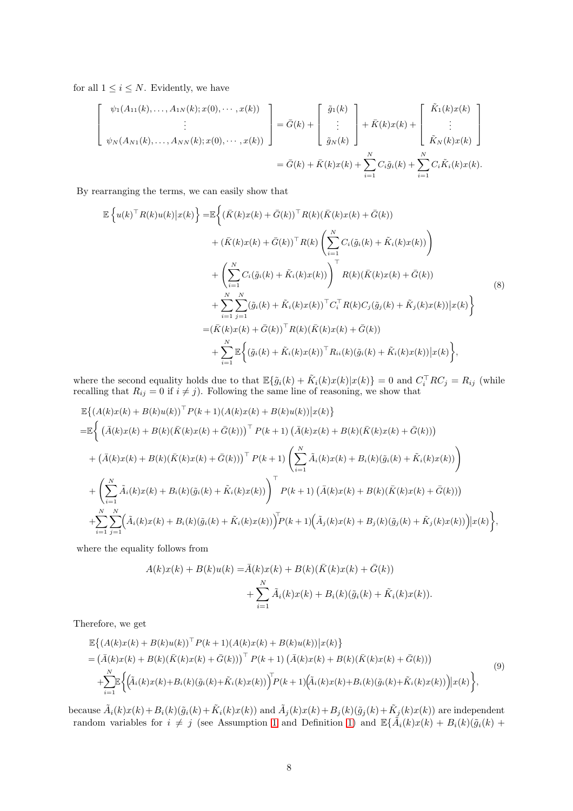for all  $1 \leq i \leq N$ . Evidently, we have

$$
\begin{bmatrix}\n\psi_1(A_{11}(k),...,A_{1N}(k);x(0),...,x(k)) \\
\vdots \\
\psi_N(A_{N1}(k),...,A_{NN}(k);x(0),...,x(k))\n\end{bmatrix} = \bar{G}(k) + \begin{bmatrix}\n\tilde{g}_1(k) \\
\vdots \\
\tilde{g}_N(k)\n\end{bmatrix} + \bar{K}(k)x(k) + \begin{bmatrix}\n\tilde{K}_1(k)x(k) \\
\vdots \\
\tilde{K}_N(k)x(k)\n\end{bmatrix}
$$
\n
$$
= \bar{G}(k) + \bar{K}(k)x(k) + \sum_{i=1}^N C_i \tilde{g}_i(k) + \sum_{i=1}^N C_i \tilde{K}_i(k)x(k).
$$

By rearranging the terms, we can easily show that

<span id="page-7-0"></span>
$$
\mathbb{E}\left\{u(k)^{\top}R(k)u(k)\Big|x(k)\right\} = \mathbb{E}\left\{(\bar{K}(k)x(k) + \bar{G}(k))^{\top}R(k)(\bar{K}(k)x(k) + \bar{G}(k)) + (\bar{K}(k)x(k) + \bar{G}(k))^{\top}R(k)\left(\sum_{i=1}^{N}C_{i}(\tilde{g}_{i}(k) + \tilde{K}_{i}(k)x(k))\right) + \left(\sum_{i=1}^{N}C_{i}(\tilde{g}_{i}(k) + \tilde{K}_{i}(k)x(k))\right)^{\top}R(k)(\bar{K}(k)x(k) + \bar{G}(k)) + \sum_{i=1}^{N}\sum_{j=1}^{N}(\tilde{g}_{i}(k) + \tilde{K}_{i}(k)x(k))^{\top}C_{i}^{\top}R(k)C_{j}(\tilde{g}_{j}(k) + \tilde{K}_{j}(k)x(k))|x(k)\right\}
$$
\n
$$
= (\bar{K}(k)x(k) + \bar{G}(k))^{\top}R(k)(\bar{K}(k)x(k) + \bar{G}(k)) + \sum_{i=1}^{N}\mathbb{E}\left\{(\tilde{g}_{i}(k) + \tilde{K}_{i}(k)x(k))^{\top}R_{ii}(k)(\tilde{g}_{i}(k) + \tilde{K}_{i}(k)x(k))|x(k)\right\},\
$$
\n(8)

where the second equality holds due to that  $\mathbb{E}\{\tilde{g}_i(k) + \tilde{K}_i(k)x(k)|x(k)\} = 0$  and  $C_i^{\top}RC_j = R_{ij}$  (while recalling that  $R_{ij} = 0$  if  $i \neq j$ . Following the same line of reasoning, we show that

$$
\mathbb{E}\{(A(k)x(k) + B(k)u(k))^\top P(k+1)(A(k)x(k) + B(k)u(k))|x(k)\}\n= \mathbb{E}\Big\{\left(\bar{A}(k)x(k) + \bar{B}(k)(\bar{K}(k)x(k) + \bar{G}(k))\right)^\top P(k+1)\left(\bar{A}(k)x(k) + \bar{B}(k)(\bar{K}(k)x(k) + \bar{G}(k))\right) \\
+ \left(\bar{A}(k)x(k) + \bar{B}(k)(\bar{K}(k)x(k) + \bar{G}(k))\right)^\top P(k+1)\left(\sum_{i=1}^N \tilde{A}_i(k)x(k) + \bar{B}_i(k)(\tilde{g}_i(k) + \tilde{K}_i(k)x(k))\right) \\
+ \left(\sum_{i=1}^N \tilde{A}_i(k)x(k) + \bar{B}_i(k)(\tilde{g}_i(k) + \tilde{K}_i(k)x(k))\right)^\top P(k+1)\left(\bar{A}(k)x(k) + \bar{B}(k)(\bar{K}(k)x(k) + \bar{G}(k))\right) \\
+ \sum_{i=1}^N \sum_{j=1}^N \left(\tilde{A}_i(k)x(k) + \bar{B}_i(k)(\tilde{g}_i(k) + \tilde{K}_i(k)x(k))\right)^\top P(k+1)\left(\tilde{A}_j(k)x(k) + \bar{B}_j(k)(\tilde{g}_j(k) + \tilde{K}_j(k)x(k))\right)|x(k)\Big\},
$$

where the equality follows from

$$
A(k)x(k) + B(k)u(k) = \bar{A}(k)x(k) + B(k)(\bar{K}(k)x(k) + \bar{G}(k))
$$
  
+ 
$$
\sum_{i=1}^{N} \tilde{A}_i(k)x(k) + B_i(k)(\tilde{g}_i(k) + \tilde{K}_i(k)x(k)).
$$

Therefore, we get

<span id="page-7-1"></span>
$$
\mathbb{E}\{(A(k)x(k) + B(k)u(k))^\top P(k+1)(A(k)x(k) + B(k)u(k))|x(k)\}\n= (\bar{A}(k)x(k) + B(k)(\bar{K}(k)x(k) + \bar{G}(k)))^\top P(k+1) (\bar{A}(k)x(k) + B(k)(\bar{K}(k)x(k) + \bar{G}(k)))\n+ \sum_{i=1}^N \mathbb{E}\{(\tilde{A}_i(k)x(k) + B_i(k)(\tilde{g}_i(k) + \tilde{K}_i(k)x(k)))^\top P(k+1)(\tilde{A}_i(k)x(k) + B_i(k)(\tilde{g}_i(k) + \tilde{K}_i(k)x(k)))\}|x(k)\},
$$
\n(9)

because  $\tilde{A}_i(k)x(k) + B_i(k)(\tilde{g}_i(k) + \tilde{K}_i(k)x(k))$  and  $\tilde{A}_j(k)x(k) + B_j(k)(\tilde{g}_j(k) + \tilde{K}_j(k)x(k))$  are independent random variables for  $i \neq j$  (see Assumption [1](#page-3-2) and Definition [1\)](#page-5-4) and  $\mathbb{E} \{ \tilde{A}_i(k)x(k) + B_i(k)(\tilde{g}_i(k) +$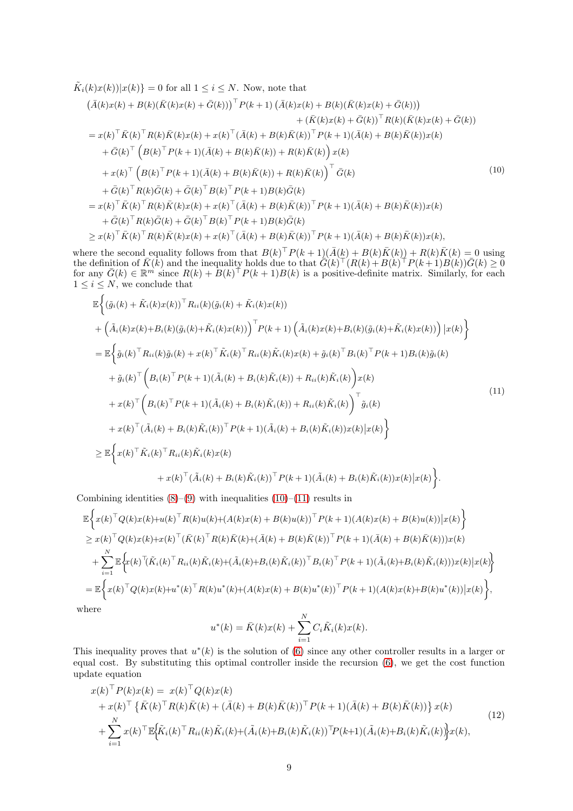$\tilde{K}_i(k)x(k)|x(k)\}=0$  for all  $1\leq i\leq N$ . Now, note that

<span id="page-8-0"></span>
$$
(\bar{A}(k)x(k) + B(k)(\bar{K}(k)x(k) + \bar{G}(k)))^{\top} P(k+1) (\bar{A}(k)x(k) + B(k)(\bar{K}(k)x(k) + \bar{G}(k)))+ (\bar{K}(k)x(k) + \bar{G}(k))^{\top} R(k)(\bar{K}(k)x(k) + \bar{G}(k))= x(k)^{\top} \bar{K}(k)^{\top} R(k) \bar{K}(k)x(k) + x(k)^{\top} (\bar{A}(k) + B(k)\bar{K}(k))^{\top} P(k+1)(\bar{A}(k) + B(k)\bar{K}(k))x(k)+ \bar{G}(k)^{\top} (B(k)^{\top} P(k+1)(\bar{A}(k) + B(k)\bar{K}(k)) + R(k)\bar{K}(k)) x(k)+ x(k)^{\top} (B(k)^{\top} P(k+1)(\bar{A}(k) + B(k)\bar{K}(k)) + R(k)\bar{K}(k))^{\top} \bar{G}(k)+ \bar{G}(k)^{\top} R(k)\bar{G}(k) + \bar{G}(k)^{\top} B(k)^{\top} P(k+1)B(k)\bar{G}(k)= x(k)^{\top} \bar{K}(k)^{\top} R(k) \bar{K}(k)x(k) + x(k)^{\top} (\bar{A}(k) + B(k)\bar{K}(k))^{\top} P(k+1)(\bar{A}(k) + B(k)\bar{K}(k))x(k)+ \bar{G}(k)^{\top} R(k)\bar{G}(k) + \bar{G}(k)^{\top} B(k)^{\top} P(k+1)B(k)\bar{G}(k)\ge x(k)^{\top} \bar{K}(k)^{\top} R(k) \bar{K}(k)x(k) + x(k)^{\top} (\bar{A}(k) + B(k)\bar{K}(k))^{\top} P(k+1)(\bar{A}(k) + B(k)\bar{K}(k))x(k),
$$
\n(10)

where the second equality follows from that  $B(k)^\top P(k+1)(\bar{A}(k) + B(k)\bar{K}(k)) + R(k)\bar{K}(k) = 0$  using the definition of  $\bar{K}(k)$  and the inequality holds due to that  $\bar{G}(k)^\top (R(k) + B(k)^\top P(k+1)B(k))\bar{G}(k) \geq 0$ for any  $\bar{G}(k) \in \mathbb{R}^m$  since  $R(k) + B(k)^\dagger P(k+1)B(k)$  is a positive-definite matrix. Similarly, for each  $1 \leq i \leq N$ , we conclude that

<span id="page-8-1"></span>
$$
\mathbb{E}\Big\{ (\tilde{g}_{i}(k) + \tilde{K}_{i}(k)x(k))^{\top} R_{ii}(k)(\tilde{g}_{i}(k) + \tilde{K}_{i}(k)x(k)) + (\tilde{A}_{i}(k)x(k) + B_{i}(k)(\tilde{g}_{i}(k) + \tilde{K}_{i}(k)x(k))) \Big\}^{\top} P(k+1) (\tilde{A}_{i}(k)x(k) + B_{i}(k)(\tilde{g}_{i}(k) + \tilde{K}_{i}(k)x(k))) \Big| x(k) \Big\}
$$
\n
$$
= \mathbb{E}\Big\{ \tilde{g}_{i}(k)^{\top} R_{ii}(k)\tilde{g}_{i}(k) + x(k)^{\top} \tilde{K}_{i}(k)^{\top} R_{ii}(k)\tilde{K}_{i}(k)x(k) + \tilde{g}_{i}(k)^{\top} B_{i}(k)^{\top} P(k+1)B_{i}(k)\tilde{g}_{i}(k) + \tilde{g}_{i}(k)^{\top} \Big( B_{i}(k)^{\top} P(k+1)(\tilde{A}_{i}(k) + B_{i}(k)\tilde{K}_{i}(k)) + R_{ii}(k)\tilde{K}_{i}(k) \Big) x(k) + x(k)^{\top} (\tilde{B}_{i}(k)^{\top} P(k+1)(\tilde{A}_{i}(k) + B_{i}(k)\tilde{K}_{i}(k)) + R_{ii}(k)\tilde{K}_{i}(k)) \Big\}^{\top} \tilde{g}_{i}(k) + x(k)^{\top} (\tilde{A}_{i}(k) + B_{i}(k)\tilde{K}_{i}(k))^{\top} P(k+1)(\tilde{A}_{i}(k) + B_{i}(k)\tilde{K}_{i}(k))x(k) |x(k) \Big\}
$$
\n
$$
\geq \mathbb{E}\Big\{ x(k)^{\top} \tilde{K}_{i}(k)^{\top} R_{ii}(k) \tilde{K}_{i}(k)x(k) + x(k)^{\top} (\tilde{A}_{i}(k) + B_{i}(k)\tilde{K}_{i}(k)) \Big\}^{\top} P(k+1)(\tilde{A}_{i}(k) + B_{i}(k)\tilde{K}_{i}(k))x(k) |x(k) \Big\}.
$$
\n(11)

Combining identities  $(8)-(9)$  $(8)-(9)$  with inequalities  $(10)-(11)$  $(10)-(11)$  results in

$$
\mathbb{E}\Big\{x(k)^{\top}Q(k)x(k)+u(k)^{\top}R(k)u(k)+(A(k)x(k)+B(k)u(k))^{\top}P(k+1)(A(k)x(k)+B(k)u(k))|x(k)\Big\}\geq x(k)^{\top}Q(k)x(k)+x(k)^{\top}(\bar{K}(k)^{\top}R(k)\bar{K}(k)+(\bar{A}(k)+B(k)\bar{K}(k))^{\top}P(k+1)(\bar{A}(k)+B(k)\bar{K}(k)))x(k)+\sum_{i=1}^{N}\mathbb{E}\Big\{x(k)^{\top}(\tilde{K}_{i}(k)^{\top}R_{ii}(k)\tilde{K}_{i}(k)+(\tilde{A}_{i}(k)+B_{i}(k)\tilde{K}_{i}(k))^{\top}B_{i}(k)^{\top}P(k+1)(\tilde{A}_{i}(k)+B_{i}(k)\tilde{K}_{i}(k)))x(k)|x(k)\Big\}=\mathbb{E}\Big\{x(k)^{\top}Q(k)x(k)+u^{*}(k)^{\top}R(k)u^{*}(k)+(A(k)x(k)+B(k)u^{*}(k))^{\top}P(k+1)(A(k)x(k)+B(k)u^{*}(k))|x(k)\Big\},where
$$

 $\overline{v}$ 

$$
u^*(k) = \bar{K}(k)x(k) + \sum_{i=1}^{N} C_i \tilde{K}_i(k)x(k).
$$

This inequality proves that  $u^*(k)$  is the solution of [\(6\)](#page-6-2) since any other controller results in a larger or equal cost. By substituting this optimal controller inside the recursion [\(6\)](#page-6-2), we get the cost function update equation

$$
x(k)^{\top} P(k)x(k) = x(k)^{\top} Q(k)x(k)
$$
  
+  $x(k)^{\top} \{\bar{K}(k)^{\top} R(k)\bar{K}(k) + (\bar{A}(k) + B(k)\bar{K}(k))^{\top} P(k+1)(\bar{A}(k) + B(k)\bar{K}(k))\} x(k)$   
+  $\sum_{i=1}^{N} x(k)^{\top} \mathbb{E}\{\tilde{K}_i(k)^{\top} R_{ii}(k)\tilde{K}_i(k) + (\tilde{A}_i(k) + B_i(k)\tilde{K}_i(k))^{\top} P(k+1)(\tilde{A}_i(k) + B_i(k)\tilde{K}_i(k))\} x(k),$  (12)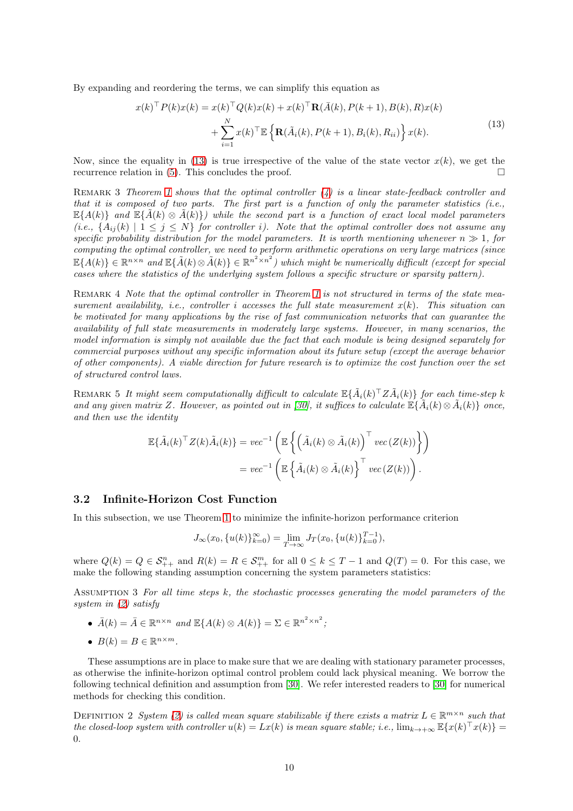<span id="page-9-0"></span>By expanding and reordering the terms, we can simplify this equation as

$$
x(k)^{\top} P(k)x(k) = x(k)^{\top} Q(k)x(k) + x(k)^{\top} \mathbf{R}(\bar{A}(k), P(k+1), B(k), R)x(k)
$$

$$
+ \sum_{i=1}^{N} x(k)^{\top} \mathbb{E} \left\{ \mathbf{R}(\tilde{A}_i(k), P(k+1), B_i(k), R_{ii}) \right\} x(k).
$$
(13)

Now, since the equality in [\(13\)](#page-9-0) is true irrespective of the value of the state vector  $x(k)$ , we get the recurrence relation in [\(5\)](#page-6-3). This concludes the proof.  $\square$ 

REMARK 3 Theorem [1](#page-5-0) shows that the optimal controller  $(4)$  is a linear state-feedback controller and that it is composed of two parts. The first part is a function of only the parameter statistics  $(i.e.,$  $E{A(k)}$  and  $E{\{\tilde{A}(k) \otimes \tilde{A}(k)\}}$  while the second part is a function of exact local model parameters (i.e.,  $\{A_{ij}(k) \mid 1 \leq j \leq N\}$  for controller i). Note that the optimal controller does not assume any specific probability distribution for the model parameters. It is worth mentioning whenever  $n \gg 1$ , for computing the optimal controller, we need to perform arithmetic operations on very large matrices (since  $\mathbb{E}\{A(k)\}\in\mathbb{R}^{n\times n}$  and  $\mathbb{E}\{\tilde{A}(k)\otimes \tilde{A}(k)\}\in\mathbb{R}^{n^2\times n^2}$ ) which might be numerically difficult (except for special cases where the statistics of the underlying system follows a specific structure or sparsity pattern).

REMARK 4 Note that the optimal controller in Theorem [1](#page-5-0) is not structured in terms of the state measurement availability, i.e., controller i accesses the full state measurement  $x(k)$ . This situation can be motivated for many applications by the rise of fast communication networks that can guarantee the availability of full state measurements in moderately large systems. However, in many scenarios, the model information is simply not available due the fact that each module is being designed separately for commercial purposes without any specific information about its future setup (except the average behavior of other components). A viable direction for future research is to optimize the cost function over the set of structured control laws.

REMARK 5 It might seem computationally difficult to calculate  $\mathbb{E}\{\tilde{A}_i(k)^\top Z\tilde{A}_i(k)\}$  for each time-step k and any given matrix Z. However, as pointed out in [\[30\]](#page-21-0), it suffices to calculate  $\mathbb{E}\{\widetilde{A}_i(k)\otimes \widetilde{A}_i(k)\}$  once, and then use the identity

$$
\mathbb{E}\{\tilde{A}_i(k)^\top Z(k)\tilde{A}_i(k)\} = vec^{-1}\left(\mathbb{E}\left\{\left(\tilde{A}_i(k) \otimes \tilde{A}_i(k)\right)^\top vec\left(Z(k)\right)\right\}\right)
$$

$$
= vec^{-1}\left(\mathbb{E}\left\{\tilde{A}_i(k) \otimes \tilde{A}_i(k)\right\}^\top vec\left(Z(k)\right)\right).
$$

#### 3.2 Infinite-Horizon Cost Function

In this subsection, we use Theorem [1](#page-5-0) to minimize the infinite-horizon performance criterion

$$
J_{\infty}(x_0, \{u(k)\}_{k=0}^{\infty}) = \lim_{T \to \infty} J_T(x_0, \{u(k)\}_{k=0}^{T-1}),
$$

<span id="page-9-1"></span>where  $Q(k) = Q \in S_{++}^n$  and  $R(k) = R \in S_{++}^m$  for all  $0 \le k \le T-1$  and  $Q(T) = 0$ . For this case, we make the following standing assumption concerning the system parameters statistics:

ASSUMPTION 3 For all time steps  $k$ , the stochastic processes generating the model parameters of the system in [\(2\)](#page-5-3) satisfy

- $\bar{A}(k) = \bar{A} \in \mathbb{R}^{n \times n}$  and  $\mathbb{E}\{A(k) \otimes A(k)\} = \Sigma \in \mathbb{R}^{n^2 \times n^2}$ ;
- $B(k) = B \in \mathbb{R}^{n \times m}$ .

These assumptions are in place to make sure that we are dealing with stationary parameter processes, as otherwise the infinite-horizon optimal control problem could lack physical meaning. We borrow the following technical definition and assumption from [\[30\]](#page-21-0). We refer interested readers to [\[30\]](#page-21-0) for numerical methods for checking this condition.

<span id="page-9-2"></span>DEFINITION 2 System [\(2\)](#page-5-3) is called mean square stabilizable if there exists a matrix  $L \in \mathbb{R}^{m \times n}$  such that the closed-loop system with controller  $u(k) = Lx(k)$  is mean square stable; i.e.,  $\lim_{k \to +\infty} \mathbb{E}\{x(k)^{\top}x(k)\} =$ 0.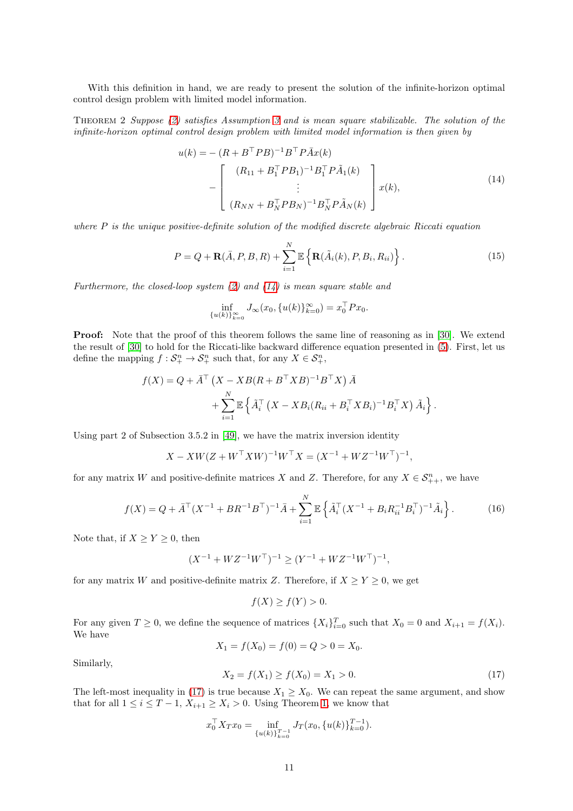<span id="page-10-0"></span>With this definition in hand, we are ready to present the solution of the infinite-horizon optimal control design problem with limited model information.

Theorem 2 Suppose [\(2\)](#page-5-3) satisfies Assumption [3](#page-9-1) and is mean square stabilizable. The solution of the infinite-horizon optimal control design problem with limited model information is then given by

$$
u(k) = -(R + B^{\top} P B)^{-1} B^{\top} P \bar{A} x(k)
$$
  

$$
- \begin{bmatrix} (R_{11} + B_1^{\top} P B_1)^{-1} B_1^{\top} P \tilde{A}_1(k) \\ \vdots \\ (R_{NN} + B_N^{\top} P B_N)^{-1} B_N^{\top} P \tilde{A}_N(k) \end{bmatrix} x(k),
$$
(14)

<span id="page-10-3"></span><span id="page-10-1"></span>where  $P$  is the unique positive-definite solution of the modified discrete algebraic Riccati equation

$$
P = Q + \mathbf{R}(\bar{A}, P, B, R) + \sum_{i=1}^{N} \mathbb{E} \left\{ \mathbf{R}(\tilde{A}_i(k), P, B_i, R_{ii}) \right\}.
$$
 (15)

Furthermore, the closed-loop system  $(2)$  and  $(14)$  is mean square stable and

$$
\inf_{\{u(k)\}_{k=0}^{\infty}} J_{\infty}(x_0, \{u(k)\}_{k=0}^{\infty}) = x_0^{\top} P x_0.
$$

Proof: Note that the proof of this theorem follows the same line of reasoning as in [\[30\]](#page-21-0). We extend the result of [\[30\]](#page-21-0) to hold for the Riccati-like backward difference equation presented in [\(5\)](#page-6-3). First, let us define the mapping  $f: \mathcal{S}_{+}^{n} \to \mathcal{S}_{+}^{n}$  such that, for any  $X \in \mathcal{S}_{+}^{n}$ ,

$$
f(X) = Q + \overline{A}^{\top} \left( X - XB(R + B^{\top}XB)^{-1}B^{\top}X \right) \overline{A}
$$
  
+ 
$$
\sum_{i=1}^{N} \mathbb{E} \left\{ \tilde{A}_{i}^{\top} \left( X - XB_{i}(R_{ii} + B_{i}^{\top}XB_{i})^{-1}B_{i}^{\top}X \right) \tilde{A}_{i} \right\}.
$$

Using part 2 of Subsection 3.5.2 in [\[49\]](#page-22-1), we have the matrix inversion identity

$$
X - XW(Z + W^{\top}XW)^{-1}W^{\top}X = (X^{-1} + WZ^{-1}W^{\top})^{-1},
$$

for any matrix W and positive-definite matrices X and Z. Therefore, for any  $X \in \mathcal{S}_{++}^n$ , we have

$$
f(X) = Q + \bar{A}^{\top} (X^{-1} + BR^{-1} B^{\top})^{-1} \bar{A} + \sum_{i=1}^{N} \mathbb{E} \left\{ \tilde{A}_i^{\top} (X^{-1} + B_i R_{ii}^{-1} B_i^{\top})^{-1} \tilde{A}_i \right\}.
$$
 (16)

<span id="page-10-4"></span>Note that, if  $X \ge Y \ge 0$ , then

$$
(X^{-1} + WZ^{-1}W^\top)^{-1} \geq (Y^{-1} + WZ^{-1}W^\top)^{-1},
$$

for any matrix W and positive-definite matrix Z. Therefore, if  $X \ge Y \ge 0$ , we get

$$
f(X) \ge f(Y) > 0.
$$

For any given  $T \geq 0$ , we define the sequence of matrices  $\{X_i\}_{i=0}^T$  such that  $X_0 = 0$  and  $X_{i+1} = f(X_i)$ . We have

$$
X_1 = f(X_0) = f(0) = Q > 0 = X_0.
$$

Similarly,

<span id="page-10-2"></span>
$$
X_2 = f(X_1) \ge f(X_0) = X_1 > 0. \tag{17}
$$

The left-most inequality in [\(17\)](#page-10-2) is true because  $X_1 \geq X_0$ . We can repeat the same argument, and show that for all  $1 \leq i \leq T-1$ ,  $X_{i+1} \geq X_i > 0$ . Using Theorem [1,](#page-5-0) we know that

$$
x_0^{\top} X_T x_0 = \inf_{\{u(k)\}_{k=0}^{T-1}} J_T(x_0, \{u(k)\}_{k=0}^{T-1}).
$$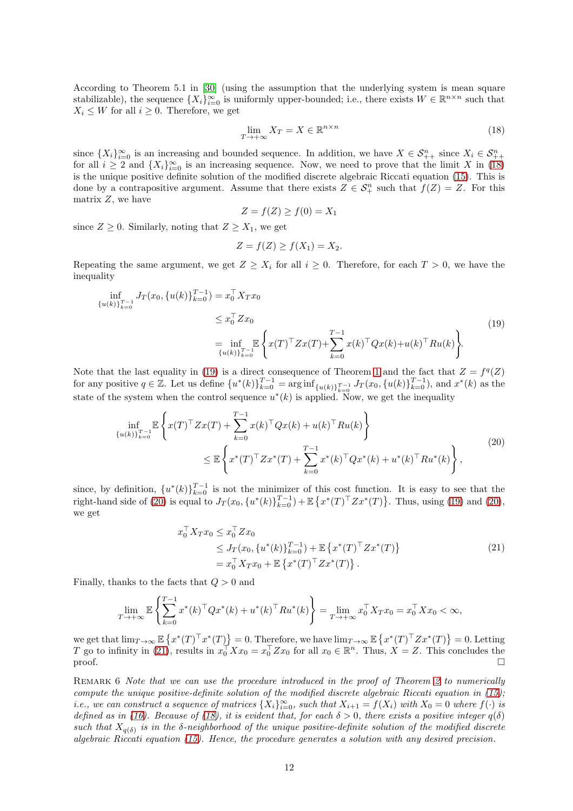According to Theorem 5.1 in [\[30\]](#page-21-0) (using the assumption that the underlying system is mean square stabilizable), the sequence  $\{X_i\}_{i=0}^{\infty}$  is uniformly upper-bounded; i.e., there exists  $W \in \mathbb{R}^{n \times n}$  such that  $X_i \leq W$  for all  $i \geq 0$ . Therefore, we get

<span id="page-11-0"></span>
$$
\lim_{T \to +\infty} X_T = X \in \mathbb{R}^{n \times n} \tag{18}
$$

since  $\{X_i\}_{i=0}^{\infty}$  is an increasing and bounded sequence. In addition, we have  $X \in \mathcal{S}_{++}^n$  since  $X_i \in \mathcal{S}_{++}^n$ for all  $i \geq 2$  and  $\{X_i\}_{i=0}^{\infty}$  is an increasing sequence. Now, we need to prove that the limit X in [\(18\)](#page-11-0) is the unique positive definite solution of the modified discrete algebraic Riccati equation [\(15\)](#page-10-3). This is done by a contrapositive argument. Assume that there exists  $Z \in S^n_+$  such that  $f(Z) = Z$ . For this matrix  $Z$ , we have

$$
Z = f(Z) \ge f(0) = X_1
$$

since  $Z \geq 0$ . Similarly, noting that  $Z \geq X_1$ , we get

$$
Z = f(Z) \ge f(X_1) = X_2.
$$

Repeating the same argument, we get  $Z \geq X_i$  for all  $i \geq 0$ . Therefore, for each  $T > 0$ , we have the inequality

<span id="page-11-1"></span>
$$
\inf_{\{u(k)\}_{k=0}^{T-1}} J_T(x_0, \{u(k)\}_{k=0}^{T-1}) = x_0^{\top} X_T x_0
$$
\n
$$
\leq x_0^{\top} Z x_0
$$
\n
$$
= \inf_{\{u(k)\}_{k=0}^{T-1}} \mathbb{E}\left\{x(T)^{\top} Z x(T) + \sum_{k=0}^{T-1} x(k)^{\top} Q x(k) + u(k)^{\top} R u(k)\right\}.
$$
\n(19)

Note that the last equality in [\(19\)](#page-11-1) is a direct consequence of Theorem [1](#page-5-0) and the fact that  $Z = f<sup>q</sup>(Z)$ for any positive  $q \in \mathbb{Z}$ . Let us define  $\{u^*(k)\}_{k=0}^{T-1} = \arg \inf_{\{u(k)\}_{k=0}^{T-1}} J_T(x_0, \{u(k)\}_{k=0}^{T-1}),$  and  $x^*(k)$  as the state of the system when the control sequence  $u^*(k)$  is applied. Now, we get the inequality

$$
\inf_{\{u(k)\}_{k=0}^{T-1}} \mathbb{E}\left\{x(T)^{\top}Zx(T) + \sum_{k=0}^{T-1} x(k)^{\top}Qx(k) + u(k)^{\top}Ru(k)\right\}
$$
\n
$$
\leq \mathbb{E}\left\{x^{*}(T)^{\top}Zx^{*}(T) + \sum_{k=0}^{T-1} x^{*}(k)^{\top}Qx^{*}(k) + u^{*}(k)^{\top}Ru^{*}(k)\right\},
$$
\n(20)

<span id="page-11-2"></span>since, by definition,  $\{u^*(k)\}_{k=0}^{T-1}$  is not the minimizer of this cost function. It is easy to see that the right-hand side of [\(20\)](#page-11-2) is equal to  $J_T(x_0, \{u^*(k)\}_{k=0}^{T-1}) + \mathbb{E} \{x^*(T)^{\top} Z x^*(T)\}$ . Thus, using [\(19\)](#page-11-1) and (20), we get

$$
x_0^{\top} X_T x_0 \le x_0^{\top} Z x_0
$$
  
\n
$$
\le J_T (x_0, \{u^*(k)\}_{k=0}^{T-1}) + \mathbb{E} \{x^*(T)^{\top} Z x^*(T)\}
$$
  
\n
$$
= x_0^{\top} X_T x_0 + \mathbb{E} \{x^*(T)^{\top} Z x^*(T)\}.
$$
\n(21)

<span id="page-11-3"></span>Finally, thanks to the facts that  $Q > 0$  and

$$
\lim_{T \to +\infty} \mathbb{E} \left\{ \sum_{k=0}^{T-1} x^*(k)^\top Q x^*(k) + u^*(k)^\top R u^*(k) \right\} = \lim_{T \to +\infty} x_0^\top X_T x_0 = x_0^\top X x_0 < \infty,
$$

we get that  $\lim_{T\to\infty} \mathbb{E}\left\{x^*(T)^{\top}x^*(T)\right\} = 0.$  Therefore, we have  $\lim_{T\to\infty} \mathbb{E}\left\{x^*(T)^{\top}Zx^*(T)\right\} = 0.$  Letting T go to infinity in [\(21\)](#page-11-3), results in  $x_0 \top X x_0 = x_0 \top Z x_0$  for all  $x_0 \in \mathbb{R}^n$ . Thus,  $X = Z$ . This concludes the  $\Box$ 

REMARK 6 Note that we can use the procedure introduced in the proof of Theorem [2](#page-10-0) to numerically compute the unique positive-definite solution of the modified discrete algebraic Riccati equation in [\(15\)](#page-10-3); *i.e.*, we can construct a sequence of matrices  $\{X_i\}_{i=0}^{\infty}$ , such that  $X_{i+1} = f(X_i)$  with  $X_0 = 0$  where  $f(\cdot)$  is defined as in [\(16\)](#page-10-4). Because of [\(18\)](#page-11-0), it is evident that, for each  $\delta > 0$ , there exists a positive integer  $q(\delta)$ such that  $X_{q(\delta)}$  is in the  $\delta$ -neighborhood of the unique positive-definite solution of the modified discrete algebraic Riccati equation [\(15\)](#page-10-3). Hence, the procedure generates a solution with any desired precision.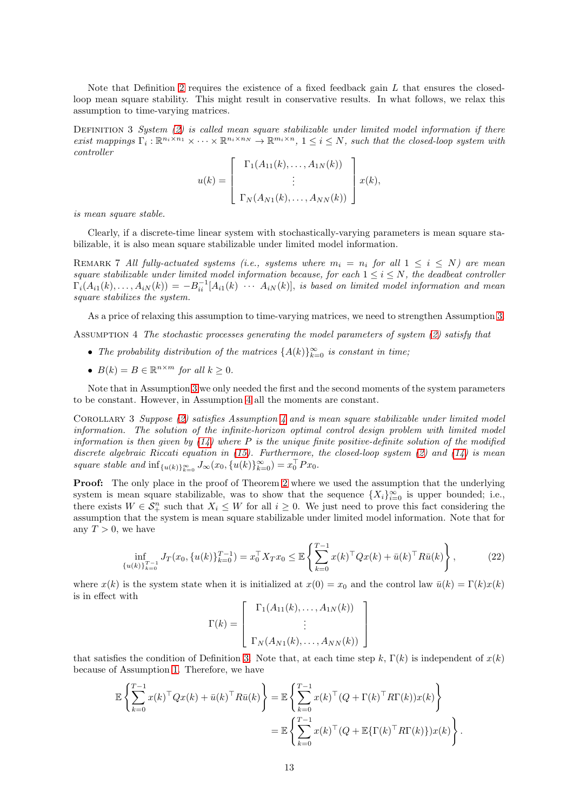Note that Definition [2](#page-9-2) requires the existence of a fixed feedback gain  $L$  that ensures the closedloop mean square stability. This might result in conservative results. In what follows, we relax this assumption to time-varying matrices.

<span id="page-12-1"></span>DEFINITION 3 System  $(2)$  is called mean square stabilizable under limited model information if there exist mappings  $\Gamma_i : \mathbb{R}^{n_i \times n_1} \times \cdots \times \mathbb{R}^{n_i \times n_N} \to \mathbb{R}^{m_i \times n}$ ,  $1 \leq i \leq N$ , such that the closed-loop system with controller

$$
u(k) = \begin{bmatrix} \Gamma_1(A_{11}(k), \dots, A_{1N}(k)) \\ \vdots \\ \Gamma_N(A_{N1}(k), \dots, A_{NN}(k)) \end{bmatrix} x(k),
$$

is mean square stable.

<span id="page-12-4"></span>Clearly, if a discrete-time linear system with stochastically-varying parameters is mean square stabilizable, it is also mean square stabilizable under limited model information.

REMARK 7 All fully-actuated systems (i.e., systems where  $m_i = n_i$  for all  $1 \le i \le N$ ) are mean square stabilizable under limited model information because, for each  $1 \le i \le N$ , the deadbeat controller  $\Gamma_i(A_{i1}(k),\ldots,A_{iN}(k)) = -B_{ii}^{-1}[A_{i1}(k) \cdots A_{iN}(k)],$  is based on limited model information and mean square stabilizes the system.

<span id="page-12-2"></span>As a price of relaxing this assumption to time-varying matrices, we need to strengthen Assumption [3.](#page-9-1)

Assumption 4 The stochastic processes generating the model parameters of system [\(2\)](#page-5-3) satisfy that

- The probability distribution of the matrices  $\{A(k)\}_{k=0}^{\infty}$  is constant in time;
- $B(k) = B \in \mathbb{R}^{n \times m}$  for all  $k \geq 0$ .

<span id="page-12-0"></span>Note that in Assumption [3](#page-9-1) we only needed the first and the second moments of the system parameters to be constant. However, in Assumption [4](#page-12-2) all the moments are constant.

COROLLARY 3 Suppose [\(2\)](#page-5-3) satisfies Assumption  $\lambda$  and is mean square stabilizable under limited model information. The solution of the infinite-horizon optimal control design problem with limited model information is then given by  $(14)$  where P is the unique finite positive-definite solution of the modified discrete algebraic Riccati equation in [\(15\)](#page-10-3). Furthermore, the closed-loop system [\(2\)](#page-5-3) and [\(14\)](#page-10-1) is mean square stable and  $\inf_{\{u(k)\}_{k=0}^{\infty}} J_{\infty}(x_0, \{u(k)\}_{k=0}^{\infty}) = x_0^{\top} P x_0.$ 

**Proof:** The only place in the proof of Theorem [2](#page-10-0) where we used the assumption that the underlying system is mean square stabilizable, was to show that the sequence  $\{X_i\}_{i=0}^{\infty}$  is upper bounded; i.e., there exists  $W \in \mathcal{S}_{+}^{n}$  such that  $X_i \leq W$  for all  $i \geq 0$ . We just need to prove this fact considering the assumption that the system is mean square stabilizable under limited model information. Note that for any  $T > 0$ , we have

$$
\inf_{\{u(k)\}_{k=0}^{T-1}} J_T(x_0, \{u(k)\}_{k=0}^{T-1}) = x_0^{\top} X_T x_0 \le \mathbb{E}\left\{\sum_{k=0}^{T-1} x(k)^{\top} Q x(k) + \bar{u}(k)^{\top} R \bar{u}(k)\right\},\tag{22}
$$

<span id="page-12-3"></span>where  $x(k)$  is the system state when it is initialized at  $x(0) = x_0$  and the control law  $\bar{u}(k) = \Gamma(k)x(k)$ is in effect with

$$
\Gamma(k) = \left[ \begin{array}{c} \Gamma_1(A_{11}(k), \dots, A_{1N}(k)) \\ \vdots \\ \Gamma_N(A_{N1}(k), \dots, A_{NN}(k)) \end{array} \right]
$$

that satisfies the condition of Definition [3.](#page-12-1) Note that, at each time step k,  $\Gamma(k)$  is independent of  $x(k)$ because of Assumption [1.](#page-3-2) Therefore, we have

$$
\mathbb{E}\left\{\sum_{k=0}^{T-1}x(k)^{\top}Qx(k)+\bar{u}(k)^{\top}R\bar{u}(k)\right\} = \mathbb{E}\left\{\sum_{k=0}^{T-1}x(k)^{\top}(Q+\Gamma(k)^{\top}R\Gamma(k))x(k)\right\}
$$

$$
= \mathbb{E}\left\{\sum_{k=0}^{T-1}x(k)^{\top}(Q+\mathbb{E}\{\Gamma(k)^{\top}R\Gamma(k)\})x(k)\right\}.
$$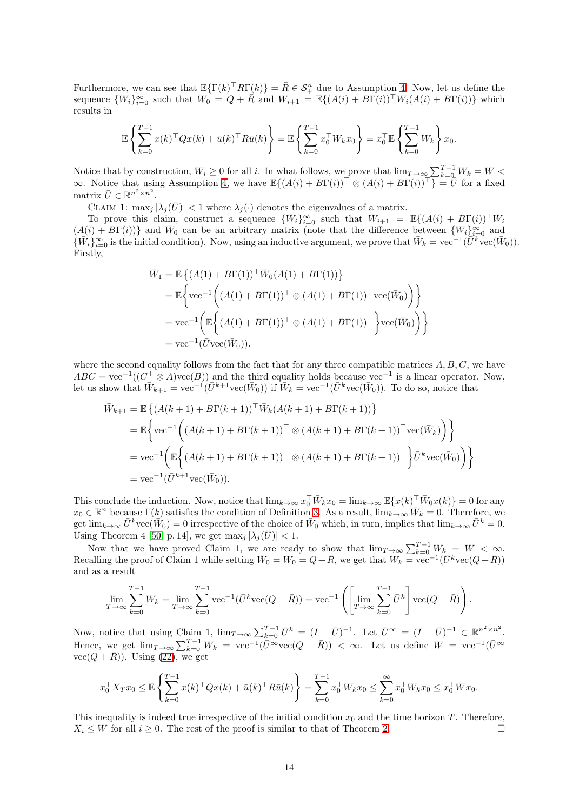Furthermore, we can see that  $\mathbb{E}\{\Gamma(k)^{\top}R\Gamma(k)\} = \bar{R} \in \mathcal{S}_{+}^{n}$  due to Assumption [4.](#page-12-2) Now, let us define the sequence  $\{W_i\}_{i=0}^{\infty}$  such that  $W_0 = Q + \overline{R}$  and  $W_{i+1} = \mathbb{E}\{(A(i) + B\Gamma(i))^\top W_i(A(i) + B\Gamma(i))\}$  which results in

$$
\mathbb{E}\left\{\sum_{k=0}^{T-1}x(k)^\top Q x(k) + \bar{u}(k)^\top R \bar{u}(k)\right\} = \mathbb{E}\left\{\sum_{k=0}^{T-1}x_0^\top W_k x_0\right\} = x_0^\top \mathbb{E}\left\{\sum_{k=0}^{T-1}W_k\right\} x_0.
$$

Notice that by construction,  $W_i \geq 0$  for all i. In what follows, we prove that  $\lim_{T\to\infty} \sum_{k=0}^{T-1} W_k = W$  $\infty$ . Notice that using Assumption [4,](#page-12-2) we have  $\mathbb{E}\{(A(i) + B\Gamma(i))^\top \otimes (A(i) + B\Gamma(i))^\top\} = U$  for a fixed matrix  $\bar{U} \in \mathbb{R}^{n^2 \times n^2}$ .

CLAIM 1:  $\max_i |\lambda_i(\bar{U})| < 1$  where  $\lambda_i(\cdot)$  denotes the eigenvalues of a matrix.

To prove this claim, construct a sequence  $\{\bar{W}_i\}_{i=0}^{\infty}$  such that  $\bar{W}_{i+1} = \mathbb{E}\{(A(i) + B\Gamma(i))^{\top}\bar{W}_i\}$  $(A(i) + B\Gamma(i))$ } and  $\bar{W}_0$  can be an arbitrary matrix (note that the difference between  $\{W_i\}_{i=0}^{\infty}$  and  $\{ \overline{W}_i \}_{i=0}^{\infty}$  is the initial condition). Now, using an inductive argument, we prove that  $\overline{W}_k = \text{vec}^{-1}(\overline{\hat{U}^k \text{vec}}(\overline{W}_0)).$ Firstly,

$$
\begin{aligned}\n\bar{W}_1 &= \mathbb{E}\left\{ (A(1) + B\Gamma(1))^\top \bar{W}_0 (A(1) + B\Gamma(1)) \right\} \\
&= \mathbb{E}\left\{ \text{vec}^{-1} \bigg( (A(1) + B\Gamma(1))^\top \otimes (A(1) + B\Gamma(1))^\top \text{vec}(\bar{W}_0) \bigg) \right\} \\
&= \text{vec}^{-1} \bigg( \mathbb{E}\left\{ (A(1) + B\Gamma(1))^\top \otimes (A(1) + B\Gamma(1))^\top \right\} \text{vec}(\bar{W}_0) \bigg) \right\} \\
&= \text{vec}^{-1} (\bar{U}\text{vec}(\bar{W}_0)).\n\end{aligned}
$$

where the second equality follows from the fact that for any three compatible matrices  $A, B, C$ , we have  $ABC = \text{vec}^{-1}((C^{\top} \otimes A)\text{vec}(B))$  and the third equality holds because vec<sup>-1</sup> is a linear operator. Now, let us show that  $\bar{W}_{k+1} = \text{vec}^{-1}(\bar{U}^{k+1}\text{vec}(\bar{W}_0))$  if  $\bar{W}_k = \text{vec}^{-1}(\bar{U}^k \text{vec}(\bar{W}_0))$ . To do so, notice that

$$
\bar{W}_{k+1} = \mathbb{E}\left\{ (A(k+1) + B\Gamma(k+1))^\top \bar{W}_k (A(k+1) + B\Gamma(k+1)) \right\}
$$
  
\n
$$
= \mathbb{E}\left\{ \text{vec}^{-1} \left( (A(k+1) + B\Gamma(k+1))^\top \otimes (A(k+1) + B\Gamma(k+1))^\top \text{vec}(\bar{W}_k) \right) \right\}
$$
  
\n
$$
= \text{vec}^{-1} \left( \mathbb{E}\left\{ (A(k+1) + B\Gamma(k+1))^\top \otimes (A(k+1) + B\Gamma(k+1))^\top \right\} \bar{U}^k \text{vec}(\bar{W}_0) \right) \right\}
$$
  
\n
$$
= \text{vec}^{-1} (\bar{U}^{k+1} \text{vec}(\bar{W}_0)).
$$

This conclude the induction. Now, notice that  $\lim_{k\to\infty} x_0^\top \bar{W}_k x_0 = \lim_{k\to\infty} \mathbb{E}\{x(k)^\top \bar{W}_0 x(k)\} = 0$  for any  $x_0 \in \mathbb{R}^n$  because  $\Gamma(k)$  satisfies the condition of Definition [3.](#page-12-1) As a result,  $\lim_{k\to\infty} \overline{W}_k = 0$ . Therefore, we  $\det \lim_{k \to \infty} \bar{U}^k \text{vec}(\bar{W}_0) = 0$  irrespective of the choice of  $\bar{W}_0$  which, in turn, implies that  $\lim_{k \to \infty} \bar{U}^k = 0$ . Using Theorem 4 [\[50,](#page-22-2) p. 14], we get  $\max_j |\lambda_j(\bar{U})| < 1$ .

Now that we have proved Claim 1, we are ready to show that  $\lim_{T\to\infty}\sum_{k=0}^{T-1}W_k = W < \infty$ . Recalling the proof of Claim 1 while setting  $\bar{W}_0 = W_0 = Q + \bar{R}$ , we get that  $W_k = \text{vec}^{-1}(\bar{U}^k \text{vec}(Q + \bar{R}))$ and as a result

$$
\lim_{T \to \infty} \sum_{k=0}^{T-1} W_k = \lim_{T \to \infty} \sum_{k=0}^{T-1} \text{vec}^{-1}(\bar{U}^k \text{vec}(Q + \bar{R})) = \text{vec}^{-1} \left( \left[ \lim_{T \to \infty} \sum_{k=0}^{T-1} \bar{U}^k \right] \text{vec}(Q + \bar{R}) \right).
$$

Now, notice that using Claim 1,  $\lim_{T\to\infty}\sum_{k=0}^{T-1}\bar{U}^k = (I-\bar{U})^{-1}$ . Let  $\bar{U}^{\infty} = (I-\bar{U})^{-1} \in \mathbb{R}^{n^2 \times n^2}$ . Hence, we get  $\lim_{T\to\infty}\sum_{k=0}^{T-1}W_k = \text{vec}^{-1}(\bar{U}^{\infty}\text{vec}(Q+\bar{R})) < \infty$ . Let us define  $W = \text{vec}^{-1}(\bar{U}^{\infty})$  $vec(Q + \bar{R})$ ). Using [\(22\)](#page-12-3), we get

$$
x_0^{\top} X_T x_0 \leq \mathbb{E} \left\{ \sum_{k=0}^{T-1} x(k)^{\top} Q x(k) + \bar{u}(k)^{\top} R \bar{u}(k) \right\} = \sum_{k=0}^{T-1} x_0^{\top} W_k x_0 \leq \sum_{k=0}^{\infty} x_0^{\top} W_k x_0 \leq x_0^{\top} W x_0.
$$

This inequality is indeed true irrespective of the initial condition  $x_0$  and the time horizon T. Therefore,  $X_i \leq W$  for all  $i \geq 0$ . The rest of the proof is similar to that of Theorem [2.](#page-10-0)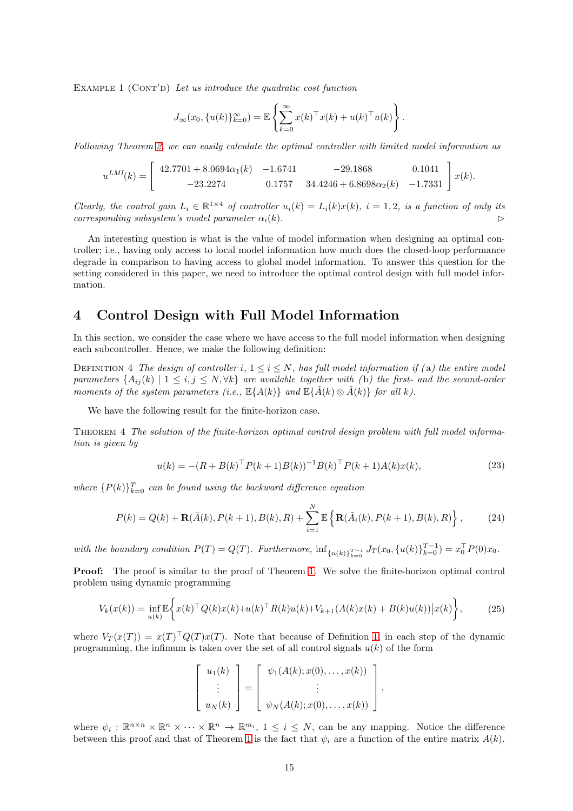EXAMPLE 1 (CONT'D) Let us introduce the quadratic cost function

$$
J_{\infty}(x_0, \{u(k)\}_{k=0}^{\infty}) = \mathbb{E}\left\{\sum_{k=0}^{\infty}x(k)^{\top}x(k) + u(k)^{\top}u(k)\right\}.
$$

Following Theorem [2,](#page-10-0) we can easily calculate the optimal controller with limited model information as

$$
u^{LMI}(k) = \begin{bmatrix} 42.7701 + 8.0694\alpha_1(k) & -1.6741 & -29.1868 & 0.1041 \\ -23.2274 & 0.1757 & 34.4246 + 6.8698\alpha_2(k) & -1.7331 \end{bmatrix} x(k).
$$

Clearly, the control gain  $L_i \in \mathbb{R}^{1 \times 4}$  of controller  $u_i(k) = L_i(k)x(k)$ ,  $i = 1, 2$ , is a function of only its corresponding subsystem's model parameter  $\alpha_i(k)$ .  $\square$ 

An interesting question is what is the value of model information when designing an optimal controller; i.e., having only access to local model information how much does the closed-loop performance degrade in comparison to having access to global model information. To answer this question for the setting considered in this paper, we need to introduce the optimal control design with full model information.

### <span id="page-14-1"></span>4 Control Design with Full Model Information

In this section, we consider the case where we have access to the full model information when designing each subcontroller. Hence, we make the following definition:

DEFINITION 4 The design of controller i,  $1 \le i \le N$ , has full model information if (a) the entire model parameters  $\{A_{ij}(k) \mid 1 \leq i, j \leq N, \forall k\}$  are available together with (b) the first- and the second-order moments of the system parameters (i.e.,  $\mathbb{E}\{A(k)\}\$  and  $\mathbb{E}\{\tilde{A}(k)\otimes\tilde{A}(k)\}\$  for all k).

<span id="page-14-0"></span>We have the following result for the finite-horizon case.

Theorem 4 The solution of the finite-horizon optimal control design problem with full model information is given by

$$
u(k) = -(R + B(k)^{\top} P(k+1) B(k))^{-1} B(k)^{\top} P(k+1) A(k) x(k), \qquad (23)
$$

where  $\{P(k)\}_{k=0}^{T}$  can be found using the backward difference equation

$$
P(k) = Q(k) + \mathbf{R}(\bar{A}(k), P(k+1), B(k), R) + \sum_{i=1}^{N} \mathbb{E} \left\{ \mathbf{R}(\tilde{A}_i(k), P(k+1), B(k), R) \right\},\tag{24}
$$

<span id="page-14-2"></span>with the boundary condition  $P(T) = Q(T)$ . Furthermore,  $\inf_{\{u(k)\}_{k=0}^{T-1}} J_T(x_0, \{u(k)\}_{k=0}^{T-1}) = x_0^{\top} P(0)x_0$ .

Proof: The proof is similar to the proof of Theorem [1.](#page-5-0) We solve the finite-horizon optimal control problem using dynamic programming

<span id="page-14-3"></span>
$$
V_k(x(k)) = \inf_{u(k)} \mathbb{E}\bigg\{x(k)^{\top}Q(k)x(k) + u(k)^{\top}R(k)u(k) + V_{k+1}(A(k)x(k) + B(k)u(k))\bigg|x(k)\bigg\},\tag{25}
$$

where  $V_T(x(T)) = x(T)^T Q(T)x(T)$ . Note that because of Definition [1,](#page-5-4) in each step of the dynamic programming, the infimum is taken over the set of all control signals  $u(k)$  of the form

$$
\begin{bmatrix}\nu_1(k) \\
\vdots \\
u_N(k)\n\end{bmatrix} = \begin{bmatrix}\n\psi_1(A(k); x(0), \dots, x(k)) \\
\vdots \\
\psi_N(A(k); x(0), \dots, x(k))\n\end{bmatrix},
$$

where  $\psi_i : \mathbb{R}^{n \times n} \times \mathbb{R}^n \times \cdots \times \mathbb{R}^n \to \mathbb{R}^{m_i}$ ,  $1 \leq i \leq N$ , can be any mapping. Notice the difference between this proof and that of Theorem [1](#page-5-0) is the fact that  $\psi_i$  are a function of the entire matrix  $A(k)$ .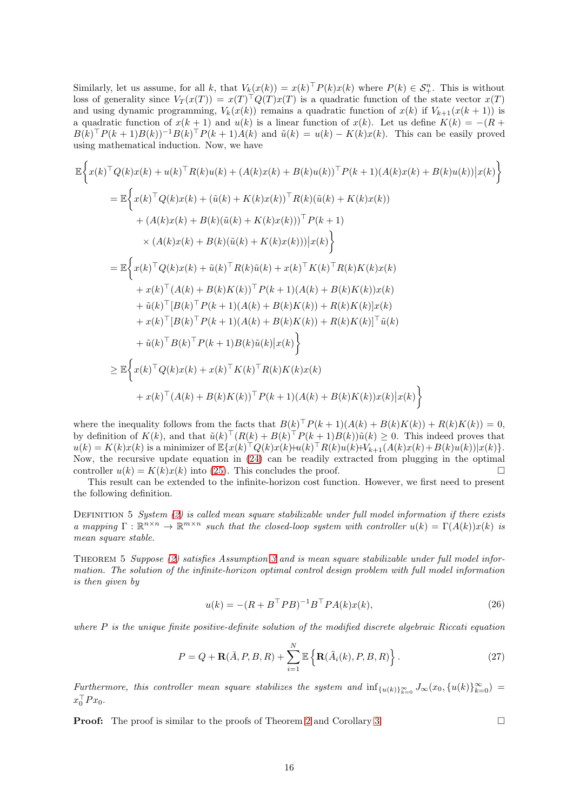Similarly, let us assume, for all k, that  $V_k(x(k)) = x(k)^T P(k)x(k)$  where  $P(k) \in S_{+}^{n}$ . This is without loss of generality since  $V_T(x(T)) = x(T)^T Q(T)x(T)$  is a quadratic function of the state vector  $x(T)$ and using dynamic programming,  $V_k(x(k))$  remains a quadratic function of  $x(k)$  if  $V_{k+1}(x(k+1))$  is a quadratic function of  $x(k + 1)$  and  $u(k)$  is a linear function of  $x(k)$ . Let us define  $K(k) = -(R +$  $B(k)$ <sup>T</sup> $P(k+1)B(k)$ <sup>T</sup> $P(k+1)A(k)$  and  $\tilde{u}(k) = u(k) - K(k)x(k)$ . This can be easily proved using mathematical induction. Now, we have

$$
\mathbb{E}\left\{x(k)^{\top}Q(k)x(k) + u(k)^{\top}R(k)u(k) + (A(k)x(k) + B(k)u(k))^{\top}P(k+1)(A(k)x(k) + B(k)u(k))|x(k)\right\}
$$
\n
$$
= \mathbb{E}\left\{x(k)^{\top}Q(k)x(k) + (\tilde{u}(k) + K(k)x(k))^{\top}R(k)(\tilde{u}(k) + K(k)x(k)) + (A(k)x(k) + B(k)(\tilde{u}(k) + K(k)x(k)))\right\} + (A(k)x(k) + B(k)(\tilde{u}(k) + K(k)x(k)))|x(k)\right\}
$$
\n
$$
= \mathbb{E}\left\{x(k)^{\top}Q(k)x(k) + \tilde{u}(k)^{\top}R(k)\tilde{u}(k) + x(k)^{\top}K(k)^{\top}R(k)K(k)x(k) + x(k)^{\top}(A(k) + B(k)K(k))\right\} + \tilde{u}(k)^{\top}[B(k)^{\top}P(k+1)(A(k) + B(k)K(k)) + R(k)K(k)]x(k) + \tilde{u}(k)^{\top}[B(k)^{\top}P(k+1)(A(k) + B(k)K(k)) + R(k)K(k)]\tilde{u}(k) + x(k)^{\top}[B(k)^{\top}P(k+1)(A(k) + B(k)K(k)) + R(k)K(k)]\tilde{u}(k) + \tilde{u}(k)^{\top}B(k)^{\top}P(k+1)B(k)\tilde{u}(k)|x(k)\right\}
$$
\n
$$
+ \tilde{u}(k)^{\top}B(k)^{\top}P(k+1)B(k)\tilde{u}(k)|x(k)\right\}
$$
\n
$$
\geq \mathbb{E}\left\{x(k)^{\top}Q(k)x(k) + x(k)^{\top}K(k)^{\top}R(k)K(k)x(k)
$$
\n
$$
+ x(k)^{\top}(A(k) + B(k)K(k))\tilde{v}(k) + B(k)K(k))x(k)\right\}
$$

where the inequality follows from the facts that  $B(k)^\top P(k+1)(A(k) + B(k)K(k)) + R(k)K(k)) = 0$ , by definition of  $K(k)$ , and that  $\tilde{u}(k)^\top (R(k) + B(k)^\top P(k+1)B(k))\tilde{u}(k) \geq 0$ . This indeed proves that  $u(k) = K(k)x(k)$  is a minimizer of  $\mathbb{E}\{x(k)^{\top}Q(k)x(k) + u(k)^{\top}R(k)u(k) + V_{k+1}(A(k)x(k) + B(k)u(k))|x(k)\}.$ Now, the recursive update equation in [\(24\)](#page-14-2) can be readily extracted from plugging in the optimal controller  $u(k) = K(k)x(k)$  into [\(25\)](#page-14-3). This concludes the proof.

This result can be extended to the infinite-horizon cost function. However, we first need to present the following definition.

DEFINITION 5 System  $(2)$  is called mean square stabilizable under full model information if there exists a mapping  $\Gamma : \mathbb{R}^{n \times n} \to \mathbb{R}^{m \times n}$  such that the closed-loop system with controller  $u(k) = \Gamma(A(k))x(k)$  is mean square stable.

<span id="page-15-0"></span>THEOREM 5 Suppose  $(2)$  satisfies Assumption [3](#page-9-1) and is mean square stabilizable under full model information. The solution of the infinite-horizon optimal control design problem with full model information is then given by

$$
u(k) = -(R + BT PB)-1BT PA(k)x(k),
$$
\n(26)

where  $P$  is the unique finite positive-definite solution of the modified discrete algebraic Riccati equation

$$
P = Q + \mathbf{R}(\bar{A}, P, B, R) + \sum_{i=1}^{N} \mathbb{E} \left\{ \mathbf{R}(\tilde{A}_{i}(k), P, B, R) \right\}.
$$
 (27)

<span id="page-15-1"></span>Furthermore, this controller mean square stabilizes the system and  $\inf_{\{u(k)\}_{k=0}^{\infty}} J_{\infty}(x_0, \{u(k)\}_{k=0}^{\infty}) =$  $x_0^\top P x_0.$ 

**Proof:** The proof is similar to the proofs of Theorem [2](#page-10-0) and Corollary [3.](#page-12-0)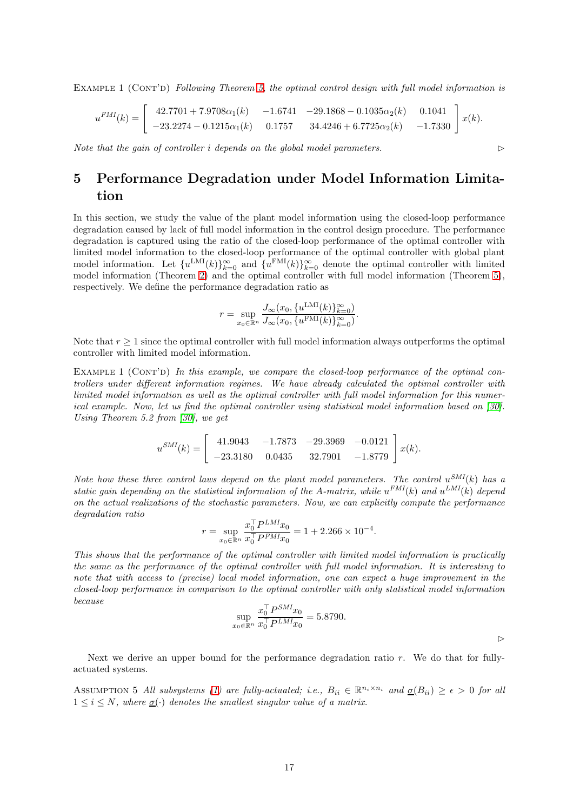EXAMPLE 1 (CONT'D) Following Theorem [5,](#page-15-0) the optimal control design with full model information is

$$
u^{FMI}(k) = \begin{bmatrix} 42.7701 + 7.9708\alpha_1(k) & -1.6741 & -29.1868 - 0.1035\alpha_2(k) & 0.1041 \\ -23.2274 - 0.1215\alpha_1(k) & 0.1757 & 34.4246 + 6.7725\alpha_2(k) & -1.7330 \end{bmatrix} x(k).
$$

<span id="page-16-0"></span>Note that the gain of controller i depends on the global model parameters.  $\triangleright$ 

## 5 Performance Degradation under Model Information Limitation

In this section, we study the value of the plant model information using the closed-loop performance degradation caused by lack of full model information in the control design procedure. The performance degradation is captured using the ratio of the closed-loop performance of the optimal controller with limited model information to the closed-loop performance of the optimal controller with global plant model information. Let  ${u^{\text{LMI}}(k)}_{k=0}^{\infty}$  and  ${u^{\text{FMI}}(k)}_{k=0}^{\infty}$  denote the optimal controller with limited model information (Theorem [2\)](#page-10-0) and the optimal controller with full model information (Theorem [5\)](#page-15-0), respectively. We define the performance degradation ratio as

<span id="page-16-1"></span>
$$
r = \sup_{x_0 \in \mathbb{R}^n} \frac{J_{\infty}(x_0, \{u^{\text{LMI}}(k)\}_{k=0}^{\infty})}{J_{\infty}(x_0, \{u^{\text{FMI}}(k)\}_{k=0}^{\infty})}.
$$

Note that  $r \geq 1$  since the optimal controller with full model information always outperforms the optimal controller with limited model information.

EXAMPLE 1 (CONT'D) In this example, we compare the closed-loop performance of the optimal controllers under different information regimes. We have already calculated the optimal controller with limited model information as well as the optimal controller with full model information for this numerical example. Now, let us find the optimal controller using statistical model information based on [\[30\]](#page-21-0). Using Theorem 5.2 from [\[30\]](#page-21-0), we get

$$
u^{SMI}(k) = \begin{bmatrix} 41.9043 & -1.7873 & -29.3969 & -0.0121 \\ -23.3180 & 0.0435 & 32.7901 & -1.8779 \end{bmatrix} x(k).
$$

Note how these three control laws depend on the plant model parameters. The control  $u^{SMI}(k)$  has a static gain depending on the statistical information of the A-matrix, while  $u^{FMI}(k)$  and  $u^{LMI}(k)$  depend on the actual realizations of the stochastic parameters. Now, we can explicitly compute the performance degradation ratio

$$
r = \sup_{x_0 \in \mathbb{R}^n} \frac{x_0^{\top} P^{LMI} x_0}{x_0^{\top} P^{FMI} x_0} = 1 + 2.266 \times 10^{-4}.
$$

This shows that the performance of the optimal controller with limited model information is practically the same as the performance of the optimal controller with full model information. It is interesting to note that with access to (precise) local model information, one can expect a huge improvement in the closed-loop performance in comparison to the optimal controller with only statistical model information because

$$
\sup_{x_0 \in \mathbb{R}^n} \frac{x_0^{\top} P^{SMI} x_0}{x_0^{\top} P^{LMI} x_0} = 5.8790.
$$

⊲

<span id="page-16-2"></span>Next we derive an upper bound for the performance degradation ratio  $r$ . We do that for fullyactuated systems.

ASSUMPTION 5 All subsystems [\(1\)](#page-3-1) are fully-actuated; i.e.,  $B_{ii} \in \mathbb{R}^{n_i \times n_i}$  and  $\underline{\sigma}(B_{ii}) \geq \epsilon > 0$  for all  $1 \leq i \leq N$ , where  $\sigma(\cdot)$  denotes the smallest singular value of a matrix.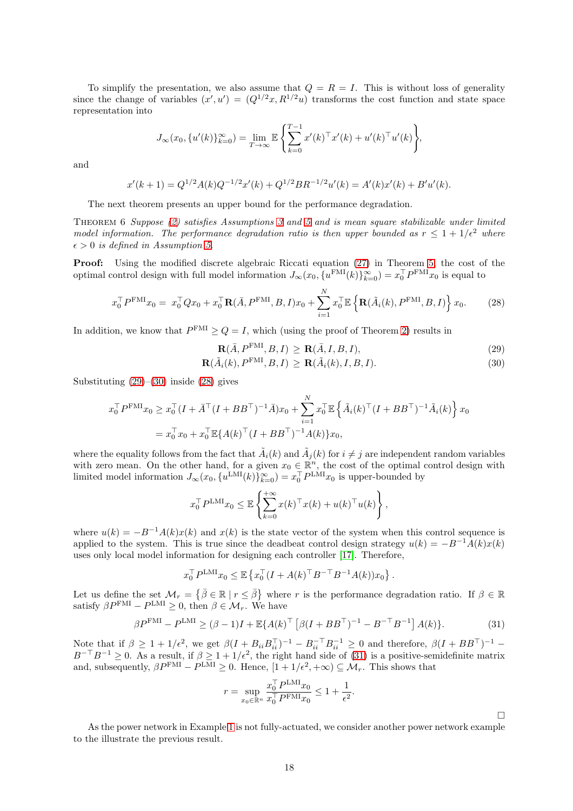To simplify the presentation, we also assume that  $Q = R = I$ . This is without loss of generality since the change of variables  $(x', u') = (Q^{1/2}x, R^{1/2}u)$  transforms the cost function and state space representation into

$$
J_{\infty}(x_0, \{u'(k)\}_{k=0}^{\infty}) = \lim_{T \to \infty} \mathbb{E} \left\{ \sum_{k=0}^{T-1} x'(k) \mathbb{T} x'(k) + u'(k) \mathbb{T} u'(k) \right\},
$$

and

$$
x'(k+1) = Q^{1/2}A(k)Q^{-1/2}x'(k) + Q^{1/2}BR^{-1/2}u'(k) = A'(k)x'(k) + B'u'(k).
$$

<span id="page-17-0"></span>The next theorem presents an upper bound for the performance degradation.

THEOREM 6 Suppose [\(2\)](#page-5-3) satisfies Assumptions [3](#page-9-1) and [5](#page-16-2) and is mean square stabilizable under limited model information. The performance degradation ratio is then upper bounded as  $r \leq 1 + 1/\epsilon^2$  where  $\epsilon > 0$  is defined in Assumption [5.](#page-16-2)

Proof: Using the modified discrete algebraic Riccati equation [\(27\)](#page-15-1) in Theorem [5,](#page-15-0) the cost of the optimal control design with full model information  $J_{\infty}(x_0, \{u^{\text{FMI}}(k)\}_{k=0}^{\infty}) = x_0^{\top} P^{\text{FMI}} x_0$  is equal to

$$
x_0^{\top} P^{\text{FMI}} x_0 = x_0^{\top} Q x_0 + x_0^{\top} \mathbf{R} (\bar{A}, P^{\text{FMI}}, B, I) x_0 + \sum_{i=1}^{N} x_0^{\top} \mathbb{E} \left\{ \mathbf{R} (\tilde{A}_i(k), P^{\text{FMI}}, B, I) \right\} x_0.
$$
 (28)

<span id="page-17-2"></span>In addition, we know that  $P^{\text{FMI}} \geq Q = I$ , which (using the proof of Theorem [2\)](#page-10-0) results in

<span id="page-17-1"></span>
$$
\mathbf{R}(\bar{A}, P^{\text{FMI}}, B, I) \ge \mathbf{R}(\bar{A}, I, B, I),\tag{29}
$$

$$
\mathbf{R}(\tilde{A}_i(k), P^{\text{FMI}}, B, I) \geq \mathbf{R}(\tilde{A}_i(k), I, B, I). \tag{30}
$$

Substituting  $(29)$ – $(30)$  inside  $(28)$  gives

$$
x_0^{\top} P^{\text{FMI}} x_0 \ge x_0^{\top} (I + \bar{A}^{\top} (I + BB^{\top})^{-1} \bar{A}) x_0 + \sum_{i=1}^{N} x_0^{\top} \mathbb{E} \left\{ \tilde{A}_i (k)^{\top} (I + BB^{\top})^{-1} \tilde{A}_i (k) \right\} x_0
$$
  
=  $x_0^{\top} x_0 + x_0^{\top} \mathbb{E} \{ A(k)^{\top} (I + BB^{\top})^{-1} A(k) \} x_0,$ 

where the equality follows from the fact that  $\tilde{A}_i(k)$  and  $\tilde{A}_j(k)$  for  $i \neq j$  are independent random variables with zero mean. On the other hand, for a given  $x_0 \in \mathbb{R}^n$ , the cost of the optimal control design with limited model information  $J_{\infty}(x_0, \{u^{\text{LMI}}(k)\}_{k=0}^{\infty}) = x_0^{\top} P^{\text{LMI}} x_0$  is upper-bounded by

$$
x_0^{\top} P^{\text{LMI}} x_0 \leq \mathbb{E} \left\{ \sum_{k=0}^{+\infty} x(k)^{\top} x(k) + u(k)^{\top} u(k) \right\},\,
$$

where  $u(k) = -B^{-1}A(k)x(k)$  and  $x(k)$  is the state vector of the system when this control sequence is applied to the system. This is true since the deadbeat control design strategy  $u(k) = -B^{-1}A(k)x(k)$ uses only local model information for designing each controller [\[17\]](#page-20-1). Therefore,

$$
x_0^{\top} P^{\text{LMI}} x_0 \leq \mathbb{E} \left\{ x_0^{\top} (I + A(k)^{\top} B^{-\top} B^{-1} A(k)) x_0 \right\}.
$$

Let us define the set  $\mathcal{M}_r = \{\bar{\beta} \in \mathbb{R} \mid r \leq \bar{\beta}\}\$  where r is the performance degradation ratio. If  $\beta \in \mathbb{R}$ satisfy  $\beta P^{FMI} - P^{LMI} \geq 0$ , then  $\beta \in \mathcal{M}_r$ . We have

<span id="page-17-3"></span>
$$
\beta P^{\text{FMI}} - P^{\text{LMI}} \ge (\beta - 1)I + \mathbb{E}\{A(k)^{\top} [\beta (I + BB^{\top})^{-1} - B^{-\top}B^{-1}] A(k)\}.
$$
 (31)

Note that if  $\beta \geq 1 + 1/\epsilon^2$ , we get  $\beta(I + B_{ii}B_{ii}^\top)^{-1} - B_{ii}^{-T}B_{ii}^{-1} \geq 0$  and therefore,  $\beta(I + BB^\top)^{-1} B^{-\top}B^{-1} \geq 0$ . As a result, if  $\beta \geq 1 + 1/\epsilon^2$ , the right hand side of [\(31\)](#page-17-3) is a positive-semidefinite matrix and, subsequently,  $\beta P^{FMI} - P^{LMI} \geq 0$ . Hence,  $[1 + 1/\epsilon^2, +\infty) \subseteq \mathcal{M}_r$ . This shows that

$$
r = \sup_{x_0 \in \mathbb{R}^n} \frac{x_0^{\top} P^{\text{LMI}} x_0}{x_0^{\top} P^{\text{FMI}} x_0} \le 1 + \frac{1}{\epsilon^2}.
$$

 $\Box$ 

As the power network in Example [1](#page-16-1) is not fully-actuated, we consider another power network example to the illustrate the previous result.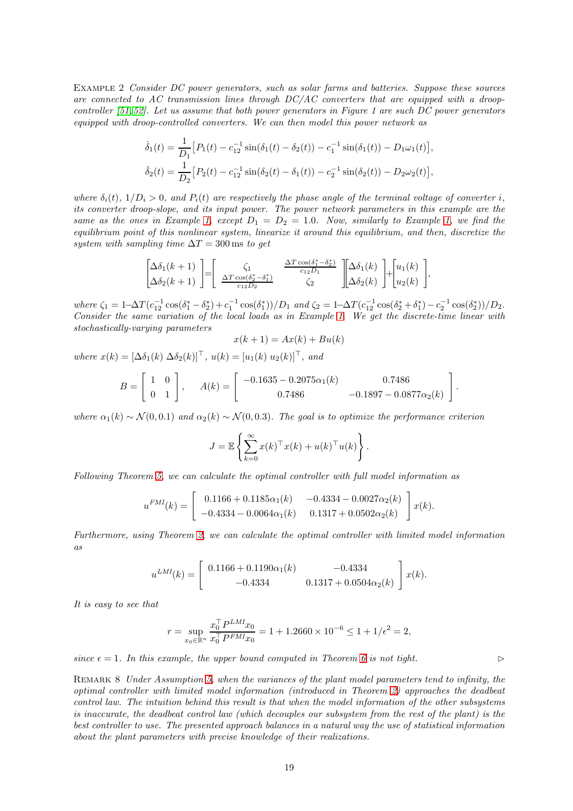Example 2 Consider DC power generators, such as solar farms and batteries. Suppose these sources are connected to AC transmission lines through  $DC/AC$  converters that are equipped with a droopcontroller [\[51,](#page-22-3) [52\]](#page-22-4). Let us assume that both power generators in Figure 1 are such DC power generators equipped with droop-controlled converters. We can then model this power network as

$$
\dot{\delta}_1(t) = \frac{1}{D_1} \Big[ P_1(t) - c_{12}^{-1} \sin(\delta_1(t) - \delta_2(t)) - c_1^{-1} \sin(\delta_1(t)) - D_1 \omega_1(t) \Big],
$$
  

$$
\dot{\delta}_2(t) = \frac{1}{D_2} \Big[ P_2(t) - c_{12}^{-1} \sin(\delta_2(t) - \delta_1(t)) - c_2^{-1} \sin(\delta_2(t)) - D_2 \omega_2(t) \Big],
$$

where  $\delta_i(t)$ ,  $1/D_i > 0$ , and  $P_i(t)$  are respectively the phase angle of the terminal voltage of converter i, its converter droop-slope, and its input power. The power network parameters in this example are the same as the ones in Example [1,](#page-16-1) except  $D_1 = D_2 = 1.0$ . Now, similarly to Example 1, we find the equilibrium point of this nonlinear system, linearize it around this equilibrium, and then, discretize the system with sampling time  $\Delta T = 300$  ms to get

$$
\begin{bmatrix}\n\Delta \delta_1(k+1) \\
\Delta \delta_2(k+1)\n\end{bmatrix} = \begin{bmatrix}\n\zeta_1 & \frac{\Delta T \cos(\delta_1^* - \delta_2^*)}{c_{12}D_1} \\
\frac{\Delta T \cos(\delta_2^* - \delta_1^*)}{c_{12}D_2} & \zeta_2\n\end{bmatrix} \begin{bmatrix}\n\Delta \delta_1(k) \\
\Delta \delta_2(k)\n\end{bmatrix} + \begin{bmatrix}\nu_1(k) \\
u_2(k)\n\end{bmatrix},
$$

where  $\zeta_1 = 1 - \Delta T (c_{12}^{-1} \cos(\delta_1^* - \delta_2^*) + c_1^{-1} \cos(\delta_1^*)) / D_1$  and  $\zeta_2 = 1 - \Delta T (c_{12}^{-1} \cos(\delta_2^* + \delta_1^*) - c_2^{-1} \cos(\delta_2^*)) / D_2$ . Consider the same variation of the local loads as in Example [1.](#page-16-1) We get the discrete-time linear with stochastically-varying parameters

$$
x(k+1) = Ax(k) + Bu(k)
$$

where  $x(k) = [\Delta \delta_1(k) \; \Delta \delta_2(k)]^\top$ ,  $u(k) = [u_1(k) \; u_2(k)]^\top$ , and

$$
B = \begin{bmatrix} 1 & 0 \\ 0 & 1 \end{bmatrix}, \quad A(k) = \begin{bmatrix} -0.1635 - 0.2075\alpha_1(k) & 0.7486 \\ 0.7486 & -0.1897 - 0.0877\alpha_2(k) \end{bmatrix}
$$

where  $\alpha_1(k) \sim \mathcal{N}(0, 0.1)$  and  $\alpha_2(k) \sim \mathcal{N}(0, 0.3)$ . The goal is to optimize the performance criterion

$$
J = \mathbb{E}\left\{\sum_{k=0}^{\infty} x(k)^\top x(k) + u(k)^\top u(k)\right\}.
$$

Following Theorem [5,](#page-15-0) we can calculate the optimal controller with full model information as

$$
u^{FMI}(k) = \begin{bmatrix} 0.1166 + 0.1185\alpha_1(k) & -0.4334 - 0.0027\alpha_2(k) \\ -0.4334 - 0.0064\alpha_1(k) & 0.1317 + 0.0502\alpha_2(k) \end{bmatrix} x(k).
$$

Furthermore, using Theorem [2,](#page-10-0) we can calculate the optimal controller with limited model information as

$$
u^{LMI}(k) = \begin{bmatrix} 0.1166 + 0.1190\alpha_1(k) & -0.4334 \\ -0.4334 & 0.1317 + 0.0504\alpha_2(k) \end{bmatrix} x(k).
$$

It is easy to see that

$$
r = \sup_{x_0 \in \mathbb{R}^n} \frac{x_0^{\top} P^{LMI} x_0}{x_0^{\top} P^{FMI} x_0} = 1 + 1.2660 \times 10^{-6} \le 1 + 1/\epsilon^2 = 2,
$$

since  $\epsilon = 1$ . In this example, the upper bound computed in Theorem [6](#page-17-0) is not tight. ⊳

.

REMARK 8 Under Assumption [5,](#page-16-2) when the variances of the plant model parameters tend to infinity, the optimal controller with limited model information (introduced in Theorem [2\)](#page-10-0) approaches the deadbeat control law. The intuition behind this result is that when the model information of the other subsystems is inaccurate, the deadbeat control law (which decouples our subsystem from the rest of the plant) is the best controller to use. The presented approach balances in a natural way the use of statistical information about the plant parameters with precise knowledge of their realizations.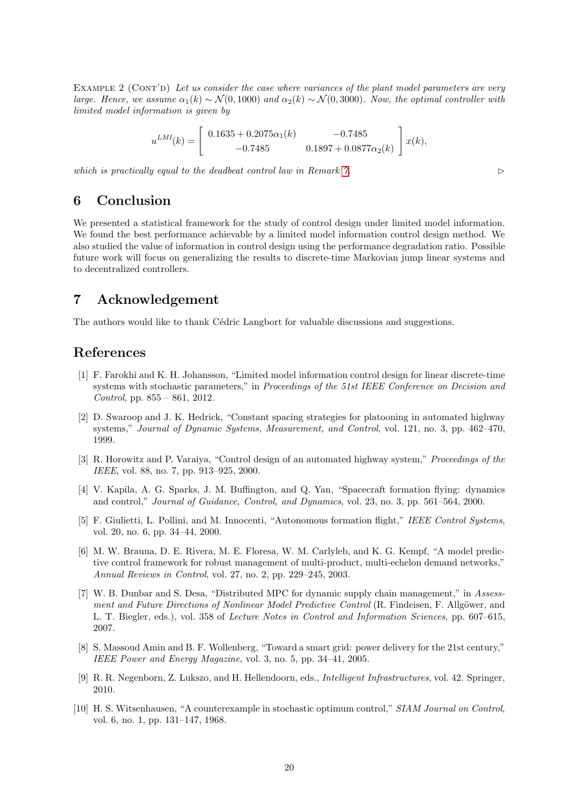EXAMPLE 2 (CONT'D) Let us consider the case where variances of the plant model parameters are very large. Hence, we assume  $\alpha_1(k) \sim \mathcal{N}(0, 1000)$  and  $\alpha_2(k) \sim \mathcal{N}(0, 3000)$ . Now, the optimal controller with limited model information is given by

$$
u^{LMI}(k) = \begin{bmatrix} 0.1635 + 0.2075\alpha_1(k) & -0.7485 \\ -0.7485 & 0.1897 + 0.0877\alpha_2(k) \end{bmatrix} x(k),
$$

<span id="page-19-10"></span>which is practically equal to the deadbeat control law in Remark [7.](#page-12-4)  $\square$ 

### 6 Conclusion

We presented a statistical framework for the study of control design under limited model information. We found the best performance achievable by a limited model information control design method. We also studied the value of information in control design using the performance degradation ratio. Possible future work will focus on generalizing the results to discrete-time Markovian jump linear systems and to decentralized controllers.

### 7 Acknowledgement

The authors would like to thank Cédric Langbort for valuable discussions and suggestions.

### <span id="page-19-9"></span>References

- [1] F. Farokhi and K. H. Johansson, "Limited model information control design for linear discrete-time systems with stochastic parameters," in Proceedings of the 51st IEEE Conference on Decision and Control, pp. 855 – 861, 2012.
- <span id="page-19-0"></span>[2] D. Swaroop and J. K. Hedrick, "Constant spacing strategies for platooning in automated highway systems," Journal of Dynamic Systems, Measurement, and Control, vol. 121, no. 3, pp. 462–470, 1999.
- <span id="page-19-1"></span>[3] R. Horowitz and P. Varaiya, "Control design of an automated highway system," Proceedings of the IEEE, vol. 88, no. 7, pp. 913–925, 2000.
- <span id="page-19-2"></span>[4] V. Kapila, A. G. Sparks, J. M. Buffington, and Q. Yan, "Spacecraft formation flying: dynamics and control," Journal of Guidance, Control, and Dynamics, vol. 23, no. 3, pp. 561–564, 2000.
- <span id="page-19-3"></span>[5] F. Giulietti, L. Pollini, and M. Innocenti, "Autonomous formation flight," IEEE Control Systems, vol. 20, no. 6, pp. 34–44, 2000.
- <span id="page-19-4"></span>[6] M. W. Brauna, D. E. Rivera, M. E. Floresa, W. M. Carlyleb, and K. G. Kempf, "A model predictive control framework for robust management of multi-product, multi-echelon demand networks," Annual Reviews in Control, vol. 27, no. 2, pp. 229–245, 2003.
- <span id="page-19-5"></span>[7] W. B. Dunbar and S. Desa, "Distributed MPC for dynamic supply chain management," in Assessment and Future Directions of Nonlinear Model Predictive Control (R. Findeisen, F. Allgöwer, and L. T. Biegler, eds.), vol. 358 of Lecture Notes in Control and Information Sciences, pp. 607–615, 2007.
- <span id="page-19-6"></span>[8] S. Massoud Amin and B. F. Wollenberg, "Toward a smart grid: power delivery for the 21st century," IEEE Power and Energy Magazine, vol. 3, no. 5, pp. 34–41, 2005.
- <span id="page-19-7"></span>[9] R. R. Negenborn, Z. Lukszo, and H. Hellendoorn, eds., Intelligent Infrastructures, vol. 42. Springer, 2010.
- <span id="page-19-8"></span>[10] H. S. Witsenhausen, "A counterexample in stochastic optimum control," SIAM Journal on Control, vol. 6, no. 1, pp. 131–147, 1968.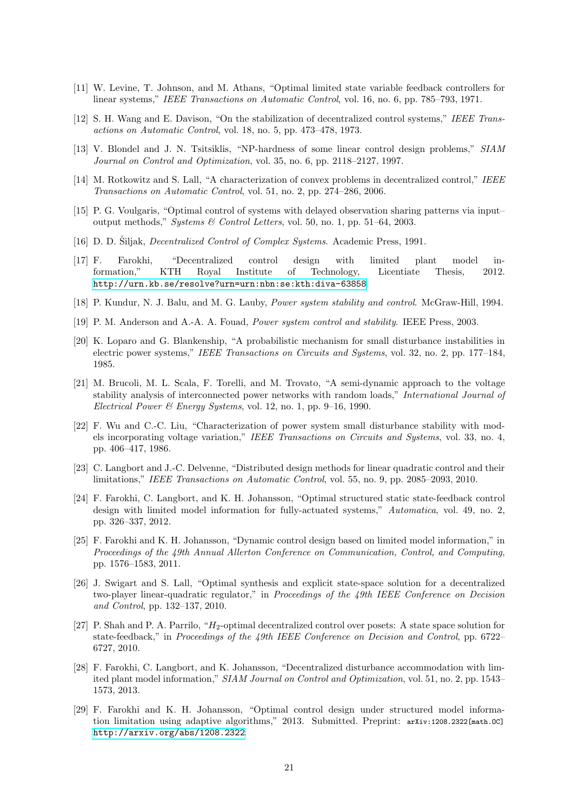- [11] W. Levine, T. Johnson, and M. Athans, "Optimal limited state variable feedback controllers for linear systems," IEEE Transactions on Automatic Control, vol. 16, no. 6, pp. 785–793, 1971.
- [12] S. H. Wang and E. Davison, "On the stabilization of decentralized control systems," IEEE Transactions on Automatic Control, vol. 18, no. 5, pp. 473–478, 1973.
- [13] V. Blondel and J. N. Tsitsiklis, "NP-hardness of some linear control design problems," SIAM Journal on Control and Optimization, vol. 35, no. 6, pp. 2118–2127, 1997.
- [14] M. Rotkowitz and S. Lall, "A characterization of convex problems in decentralized control," IEEE Transactions on Automatic Control, vol. 51, no. 2, pp. 274–286, 2006.
- <span id="page-20-0"></span>[15] P. G. Voulgaris, "Optimal control of systems with delayed observation sharing patterns via input– output methods," Systems & Control Letters, vol. 50, no. 1, pp. 51–64, 2003.
- <span id="page-20-1"></span>[16] D. D. Šiljak, *Decentralized Control of Complex Systems*. Academic Press, 1991.
- [17] F. Farokhi, "Decentralized control design with limited plant model information," KTH Royal Institute of Technology, Licentiate Thesis, 2012. <http://urn.kb.se/resolve?urn=urn:nbn:se:kth:diva-63858>.
- <span id="page-20-3"></span><span id="page-20-2"></span>[18] P. Kundur, N. J. Balu, and M. G. Lauby, Power system stability and control. McGraw-Hill, 1994.
- <span id="page-20-4"></span>[19] P. M. Anderson and A.-A. A. Fouad, Power system control and stability. IEEE Press, 2003.
- [20] K. Loparo and G. Blankenship, "A probabilistic mechanism for small disturbance instabilities in electric power systems," IEEE Transactions on Circuits and Systems, vol. 32, no. 2, pp. 177–184, 1985.
- <span id="page-20-13"></span>[21] M. Brucoli, M. L. Scala, F. Torelli, and M. Trovato, "A semi-dynamic approach to the voltage stability analysis of interconnected power networks with random loads," International Journal of Electrical Power & Energy Systems, vol. 12, no. 1, pp. 9–16, 1990.
- <span id="page-20-5"></span>[22] F. Wu and C.-C. Liu, "Characterization of power system small disturbance stability with models incorporating voltage variation," IEEE Transactions on Circuits and Systems, vol. 33, no. 4, pp. 406–417, 1986.
- <span id="page-20-6"></span>[23] C. Langbort and J.-C. Delvenne, "Distributed design methods for linear quadratic control and their limitations," IEEE Transactions on Automatic Control, vol. 55, no. 9, pp. 2085–2093, 2010.
- <span id="page-20-7"></span>[24] F. Farokhi, C. Langbort, and K. H. Johansson, "Optimal structured static state-feedback control design with limited model information for fully-actuated systems," Automatica, vol. 49, no. 2, pp. 326–337, 2012.
- <span id="page-20-8"></span>[25] F. Farokhi and K. H. Johansson, "Dynamic control design based on limited model information," in Proceedings of the 49th Annual Allerton Conference on Communication, Control, and Computing, pp. 1576–1583, 2011.
- <span id="page-20-9"></span>[26] J. Swigart and S. Lall, "Optimal synthesis and explicit state-space solution for a decentralized two-player linear-quadratic regulator," in Proceedings of the 49th IEEE Conference on Decision and Control, pp. 132–137, 2010.
- <span id="page-20-10"></span>[27] P. Shah and P. A. Parrilo, "H2-optimal decentralized control over posets: A state space solution for state-feedback," in Proceedings of the 49th IEEE Conference on Decision and Control, pp. 6722– 6727, 2010.
- <span id="page-20-11"></span>[28] F. Farokhi, C. Langbort, and K. Johansson, "Decentralized disturbance accommodation with limited plant model information," SIAM Journal on Control and Optimization, vol. 51, no. 2, pp. 1543– 1573, 2013.
- <span id="page-20-12"></span>[29] F. Farokhi and K. H. Johansson, "Optimal control design under structured model information limitation using adaptive algorithms," 2013. Submitted. Preprint: arXiv:1208.2322[math.OC] <http://arxiv.org/abs/1208.2322>.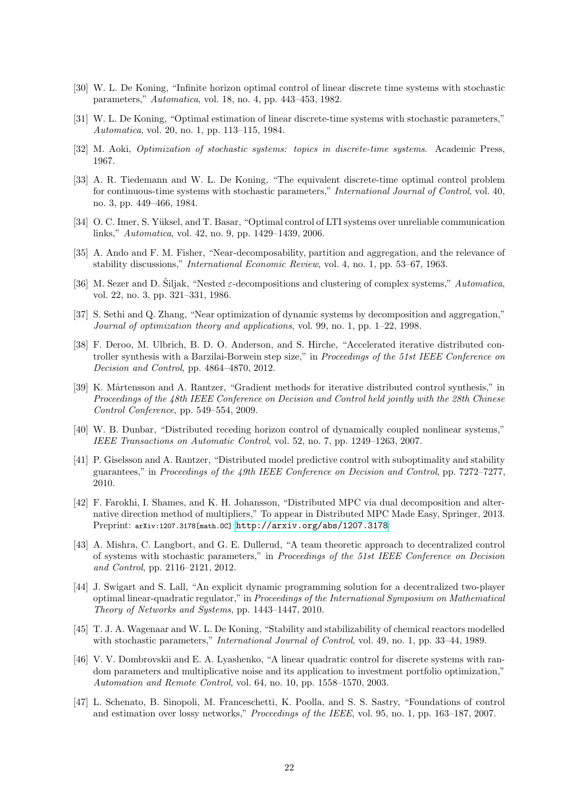- <span id="page-21-0"></span>[30] W. L. De Koning, "Infinite horizon optimal control of linear discrete time systems with stochastic parameters," Automatica, vol. 18, no. 4, pp. 443–453, 1982.
- [31] W. L. De Koning, "Optimal estimation of linear discrete-time systems with stochastic parameters," Automatica, vol. 20, no. 1, pp. 113–115, 1984.
- [32] M. Aoki, Optimization of stochastic systems: topics in discrete-time systems. Academic Press, 1967.
- [33] A. R. Tiedemann and W. L. De Koning, "The equivalent discrete-time optimal control problem for continuous-time systems with stochastic parameters," International Journal of Control, vol. 40, no. 3, pp. 449–466, 1984.
- <span id="page-21-1"></span>[34] O. C. Imer, S. Yüksel, and T. Basar, "Optimal control of LTI systems over unreliable communication links," Automatica, vol. 42, no. 9, pp. 1429–1439, 2006.
- <span id="page-21-2"></span>[35] A. Ando and F. M. Fisher, "Near-decomposability, partition and aggregation, and the relevance of stability discussions," International Economic Review, vol. 4, no. 1, pp. 53–67, 1963.
- [36] M. Sezer and D. Siljak, "Nested  $\varepsilon$ -decompositions and clustering of complex systems," Automatica, vol. 22, no. 3, pp. 321–331, 1986.
- <span id="page-21-3"></span>[37] S. Sethi and Q. Zhang, "Near optimization of dynamic systems by decomposition and aggregation," Journal of optimization theory and applications, vol. 99, no. 1, pp. 1–22, 1998.
- <span id="page-21-4"></span>[38] F. Deroo, M. Ulbrich, B. D. O. Anderson, and S. Hirche, "Accelerated iterative distributed controller synthesis with a Barzilai-Borwein step size," in Proceedings of the 51st IEEE Conference on Decision and Control, pp. 4864–4870, 2012.
- <span id="page-21-5"></span>[39] K. Mårtensson and A. Rantzer, "Gradient methods for iterative distributed control synthesis," in Proceedings of the 48th IEEE Conference on Decision and Control held jointly with the 28th Chinese Control Conference, pp. 549–554, 2009.
- <span id="page-21-6"></span>[40] W. B. Dunbar, "Distributed receding horizon control of dynamically coupled nonlinear systems," IEEE Transactions on Automatic Control, vol. 52, no. 7, pp. 1249–1263, 2007.
- <span id="page-21-7"></span>[41] P. Giselsson and A. Rantzer, "Distributed model predictive control with suboptimality and stability guarantees," in Proceedings of the 49th IEEE Conference on Decision and Control, pp. 7272–7277, 2010.
- <span id="page-21-8"></span>[42] F. Farokhi, I. Shames, and K. H. Johansson, "Distributed MPC via dual decomposition and alternative direction method of multipliers," To appear in Distributed MPC Made Easy, Springer, 2013. Preprint: arXiv:1207.3178[math.OC] <http://arxiv.org/abs/1207.3178>.
- <span id="page-21-9"></span>[43] A. Mishra, C. Langbort, and G. E. Dullerud, "A team theoretic approach to decentralized control of systems with stochastic parameters," in Proceedings of the 51st IEEE Conference on Decision and Control, pp. 2116–2121, 2012.
- <span id="page-21-10"></span>[44] J. Swigart and S. Lall, "An explicit dynamic programming solution for a decentralized two-player optimal linear-quadratic regulator," in Proceedings of the International Symposium on Mathematical Theory of Networks and Systems, pp. 1443–1447, 2010.
- [45] T. J. A. Wagenaar and W. L. De Koning, "Stability and stabilizability of chemical reactors modelled with stochastic parameters," *International Journal of Control*, vol. 49, no. 1, pp. 33–44, 1989.
- <span id="page-21-11"></span>[46] V. V. Dombrovskii and E. A. Lyashenko, "A linear quadratic control for discrete systems with random parameters and multiplicative noise and its application to investment portfolio optimization," Automation and Remote Control, vol. 64, no. 10, pp. 1558–1570, 2003.
- <span id="page-21-12"></span>[47] L. Schenato, B. Sinopoli, M. Franceschetti, K. Poolla, and S. S. Sastry, "Foundations of control and estimation over lossy networks," Proceedings of the IEEE, vol. 95, no. 1, pp. 163–187, 2007.